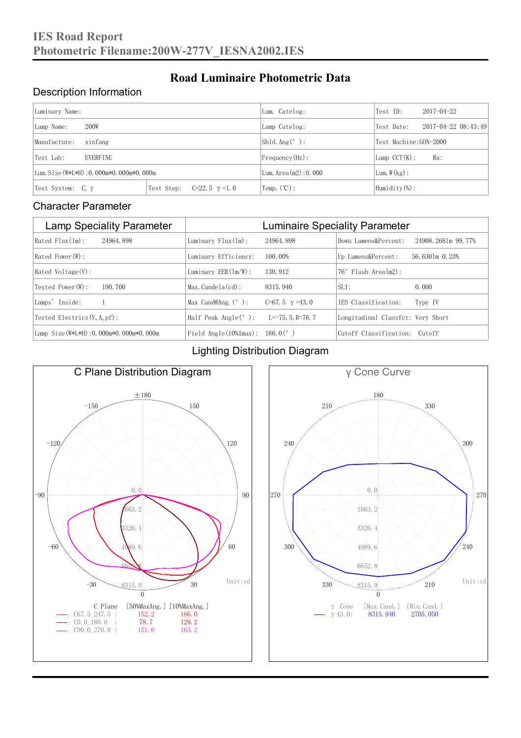#### Description Information

| Luminary Name:                          |                                     | Lum. Catelog:          | Test ID:               | $2017 - 04 - 22$ |  |
|-----------------------------------------|-------------------------------------|------------------------|------------------------|------------------|--|
| 200W<br>Lamp Name:                      | Lamp Catelog:                       | Test Date:             | 2017-04-22 08:43:49    |                  |  |
| Manufacture:<br>xinfang                 |                                     | Shld. $Ang (°)$ :      | Test Machine: GON-2000 |                  |  |
| <b>EVERFINE</b><br>Test Lab:            |                                     | $Frequency(Hz)$ :      | $Lamp$ CCT(K):         | Ra:              |  |
| Lum. Size (W*L*H): 0.000m*0.000m*0.000m |                                     | Lum. $Area(m2):0.000$  | Lum. $W(kg)$ :         |                  |  |
| Test System: $C, \gamma$                | Test Step:<br>$C=22.5$ $\gamma=1.0$ | Temp. $(\mathbb{C})$ : | Humidity $(\%)$ :      |                  |  |

**Road Luminaire Photometric Data**

#### Character Parameter

| <b>Lamp Speciality Parameter</b>       | <b>Luminaire Speciality Parameter</b>         |                       |                                   |                    |  |
|----------------------------------------|-----------------------------------------------|-----------------------|-----------------------------------|--------------------|--|
| Rated Flux(1m):<br>24964, 898          | Luminary $Flux(ln)$ :                         | 24964, 898            | Down Lumens&Percent:              | 24908.2681m 99.77% |  |
| Rated Power (W):                       | Luminary Efficiency:                          | 100.00%               | Up Lumens&Percent:                | 56.6301m 0.23%     |  |
| $Rated$ Voltage $(V)$ :                | Luminary $EER(\ln/W)$ :                       | 130.912               | $76°$ Flash Area $(m2)$ :         |                    |  |
| Tested Power(W):<br>190, 700           | $Max. Candela(cd)$ :                          | 8315, 940             | $SLI$ :                           | 0.000              |  |
| Lamps' Inside:                         | Max Cand@Ang. $(°)$ :                         | C=67.5 $\gamma$ =43.0 | TES Classification:               | Type IV            |  |
| Tested Electrics $(V, A, pf)$ :        | Half Peak Angle $(°)$ :                       | $L=-75.5$ , R=76.7    | Longitudinal Classfct: Very Short |                    |  |
| Lamp Size(W*L*H): 0.000m*0.000m*0.000m | Field Angle $(10\frac{m}{max})$ : 166.0 $(°)$ |                       | Cutoff Classification: Cutoff     |                    |  |

#### Lighting Distribution Diagram



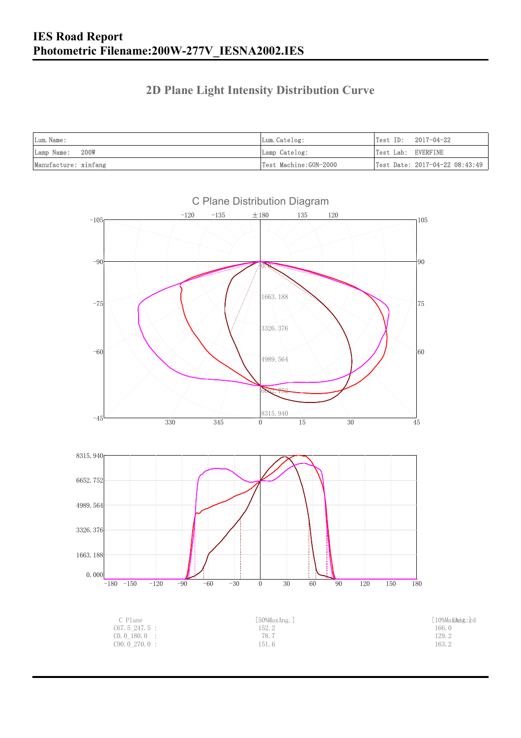### **2D Plane Light Intensity Distribution Curve**

| Lum. Name:           | Lum.Catelog:          |                    | $Test ID: 2017-04-22$          |
|----------------------|-----------------------|--------------------|--------------------------------|
| Lamp Name: 200W      | Lamp Catelog:         | Test Lab: EVERFINE |                                |
| Manufacture: xinfang | Test Machine:GON-2000 |                    | Test Date: 2017-04-22 08:43:49 |

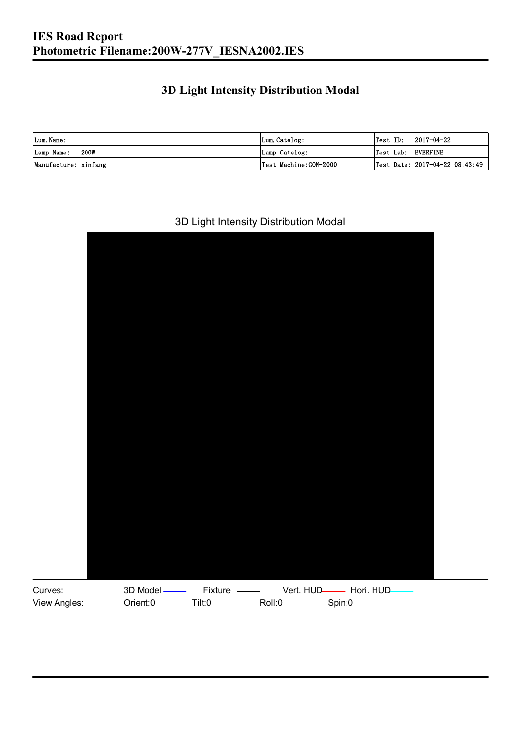### **3D Light Intensity Distribution Modal**

| Lum. Name:           | Lum.Catelog:          |                    | $\textsf{Test ID:} \quad 2017-04-22$ |
|----------------------|-----------------------|--------------------|--------------------------------------|
| 200W<br>Lamp Name:   | Lamp Catelog:         | Test Lab: EVERFINE |                                      |
| Manufacture: xinfang | Test Machine:GON-2000 |                    | Test Date: 2017-04-22 08:43:49       |

#### 3D Light Intensity Distribution Modal

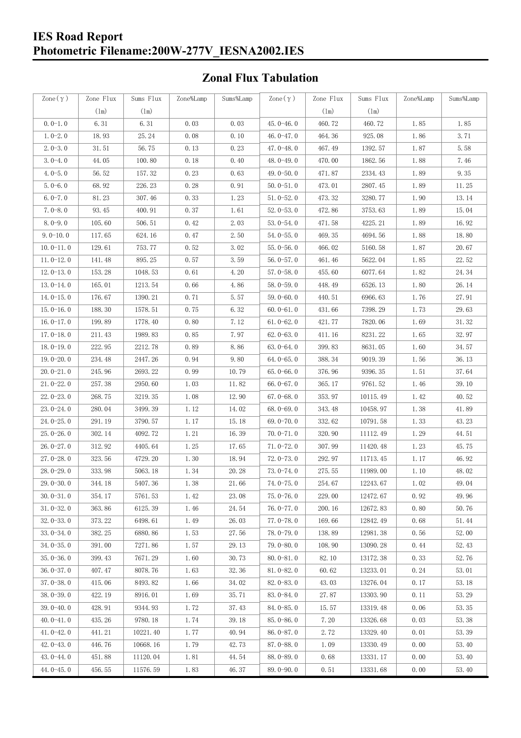#### **IES Road Report Photometric Filename:200W-277V\_IESNA2002.IES**

### **Zonal Flux Tabulation**

| Zone $(\gamma)$ | Zone Flux     | Sums Flux     | Zone%Lamp | Sums%Lamp | Zone $(\gamma)$ | Zone Flux     | Sums Flux     | Zone%Lamp | Sums%Lamp |
|-----------------|---------------|---------------|-----------|-----------|-----------------|---------------|---------------|-----------|-----------|
|                 | $(\text{lm})$ | $(\text{lm})$ |           |           |                 | $(\text{lm})$ | $(\text{lm})$ |           |           |
| $0.0-1.0$       | 6.31          | 6.31          | 0.03      | 0.03      | $45.0 - 46.0$   | 460.72        | 460.72        | 1.85      | 1.85      |
| $1.0 - 2.0$     | 18.93         | 25.24         | 0.08      | 0.10      | 46.0-47.0       | 464.36        | 925.08        | 1.86      | 3.71      |
| $2.0 - 3.0$     | 31.51         | 56.75         | 0.13      | 0.23      | 47.0-48.0       | 467.49        | 1392.57       | 1.87      | 5.58      |
| $3.0 - 4.0$     | 44.05         | 100.80        | 0.18      | 0.40      | 48.0-49.0       | 470.00        | 1862.56       | 1.88      | 7.46      |
| $4.0 - 5.0$     | 56.52         | 157.32        | 0.23      | 0.63      | 49.0-50.0       | 471.87        | 2334.43       | 1.89      | 9.35      |
| $5.0 - 6.0$     | 68.92         | 226.23        | 0.28      | 0.91      | $50.0 - 51.0$   | 473.01        | 2807.45       | 1.89      | 11.25     |
| $6.0 - 7.0$     | 81.23         | 307.46        | 0.33      | 1.23      | $51.0 - 52.0$   | 473.32        | 3280.77       | 1.90      | 13.14     |
| $7.0 - 8.0$     | 93.45         | 400.91        | 0.37      | 1.61      | $52.0 - 53.0$   | 472.86        | 3753.63       | 1.89      | 15.04     |
| $8.0 - 9.0$     | 105.60        | 506.51        | 0.42      | 2.03      | $53.0 - 54.0$   | 471.58        | 4225.21       | 1.89      | 16.92     |
| $9.0 - 10.0$    | 117.65        | 624.16        | 0.47      | 2.50      | $54.0 - 55.0$   | 469.35        | 4694.56       | 1.88      | 18.80     |
| $10.0 - 11.0$   | 129.61        | 753.77        | 0.52      | 3.02      | $55.0 - 56.0$   | 466.02        | 5160.58       | 1.87      | 20.67     |
| $11.0 - 12.0$   | 141.48        | 895.25        | 0.57      | 3.59      | $56.0 - 57.0$   | 461.46        | 5622.04       | 1.85      | 22.52     |
| $12.0 - 13.0$   | 153.28        | 1048.53       | 0.61      | 4.20      | $57.0 - 58.0$   | 455.60        | 6077.64       | 1.82      | 24.34     |
| $13.0 - 14.0$   | 165.01        | 1213.54       | 0.66      | 4.86      | 58.0-59.0       | 448.49        | 6526.13       | 1.80      | 26.14     |
| $14.0 - 15.0$   | 176.67        | 1390.21       | 0.71      | 5.57      | $59.0 - 60.0$   | 440.51        | 6966.63       | 1.76      | 27.91     |
| $15.0 - 16.0$   | 188.30        | 1578.51       | 0.75      | 6.32      | $60.0 - 61.0$   | 431.66        | 7398.29       | 1.73      | 29.63     |
| $16.0 - 17.0$   | 199.89        | 1778.40       | 0.80      | 7.12      | $61.0 - 62.0$   | 421.77        | 7820.06       | 1.69      | 31.32     |
| $17.0 - 18.0$   | 211.43        | 1989.83       | 0.85      | 7.97      | $62.0 - 63.0$   | 411.16        | 8231.22       | 1.65      | 32.97     |
| $18.0 - 19.0$   | 222.95        | 2212.78       | 0.89      | 8.86      | $63.0 - 64.0$   | 399.83        | 8631.05       | 1.60      | 34.57     |
| $19.0 - 20.0$   | 234.48        | 2447.26       | 0.94      | 9.80      | $64.0 - 65.0$   | 388.34        | 9019.39       | 1.56      | 36.13     |
| $20.0 - 21.0$   | 245.96        | 2693.22       | 0.99      | 10.79     | $65.0 - 66.0$   | 376.96        | 9396.35       | 1.51      | 37.64     |
| $21.0 - 22.0$   | 257.38        | 2950.60       | 1.03      | 11.82     | $66.0 - 67.0$   | 365.17        | 9761.52       | 1.46      | 39.10     |
| $22.0 - 23.0$   | 268.75        | 3219.35       | 1.08      | 12.90     | $67.0 - 68.0$   | 353.97        | 10115.49      | 1.42      | 40.52     |
| $23.0 - 24.0$   | 280.04        | 3499.39       | 1.12      | 14.02     | $68.0 - 69.0$   | 343.48        | 10458.97      | 1.38      | 41.89     |
| $24.0 - 25.0$   | 291.19        | 3790.57       | 1.17      | 15.18     | 69.0-70.0       | 332.62        | 10791.58      | 1.33      | 43.23     |
| $25.0 - 26.0$   | 302.14        | 4092.72       | 1.21      | 16.39     | $70.0 - 71.0$   | 320.90        | 11112.49      | 1.29      | 44.51     |
| $26.0 - 27.0$   | 312.92        | 4405.64       | 1.25      | 17.65     | $71.0 - 72.0$   | 307.99        | 11420.48      | 1.23      | 45.75     |
| $27.0 - 28.0$   | 323.56        | 4729.20       | 1.30      | 18.94     | $72.0 - 73.0$   | 292.97        | 11713.45      | 1.17      | 46.92     |
| $28.0 - 29.0$   | 333.98        | 5063.18       | 1.34      | 20.28     | $73.0 - 74.0$   | 275.55        | 11989.00      | 1.10      | 48.02     |
| $29.0 - 30.0$   | 344.18        | 5407.36       | 1.38      | 21.66     | 74.0-75.0       | 254.67        | 12243.67      | $1.\,02$  | 49.04     |
| $30.0 - 31.0$   | 354.17        | 5761.53       | 1.42      | 23.08     | $75.0 - 76.0$   | 229.00        | 12472.67      | 0.92      | 49.96     |
| $31.0 - 32.0$   | 363.86        | 6125.39       | 1.46      | 24.54     | 76.0-77.0       | 200.16        | 12672.83      | 0.80      | 50.76     |
| $32.0 - 33.0$   | 373.22        | 6498.61       | 1.49      | 26.03     | $77.0 - 78.0$   | 169.66        | 12842.49      | 0.68      | 51.44     |
| $33.0 - 34.0$   | 382.25        | 6880.86       | 1.53      | 27.56     | 78.0-79.0       | 138.89        | 12981.38      | 0.56      | 52.00     |
| $34.0 - 35.0$   | 391.00        | 7271.86       | 1.57      | 29.13     | 79.0-80.0       | 108.90        | 13090.28      | 0.44      | 52.43     |
| $35.0 - 36.0$   | 399.43        | 7671.29       | 1.60      | 30.73     | $80.0 - 81.0$   | 82.10         | 13172.38      | 0.33      | 52.76     |
| $36.0 - 37.0$   | 407.47        | 8078.76       | 1.63      | 32.36     | $81.0 - 82.0$   | 60.62         | 13233.01      | 0.24      | 53.01     |
| $37.0 - 38.0$   | 415.06        | 8493.82       | 1.66      | 34.02     | $82.0 - 83.0$   | 43.03         | 13276.04      | 0.17      | 53.18     |
| $38.0 - 39.0$   | 422.19        | 8916.01       | 1.69      | 35.71     | 83.0-84.0       | 27.87         | 13303.90      | 0.11      | 53.29     |
| $39.0 - 40.0$   | 428.91        | 9344.93       | 1.72      | 37.43     | 84.0-85.0       | 15.57         | 13319.48      | 0.06      | 53.35     |
| $40.0 - 41.0$   | 435.26        | 9780.18       | 1.74      | 39.18     | $85.0 - 86.0$   | 7.20          | 13326.68      | 0.03      | 53.38     |
| $41.0 - 42.0$   | 441.21        | 10221.40      | 1.77      | 40.94     | $86.0 - 87.0$   | 2.72          | 13329.40      | 0.01      | 53.39     |
| $42.0 - 43.0$   | 446.76        | 10668.16      | 1.79      | 42.73     | $87.0 - 88.0$   | 1.09          | 13330.49      | 0.00      | 53.40     |
| $43.0 - 44.0$   | 451.88        | 11120.04      | 1.81      | 44.54     | 88.0-89.0       | 0.68          | 13331.17      | 0.00      | 53.40     |
| $44.0 - 45.0$   | 456.55        | 11576.59      | 1.83      | 46.37     | 89.0-90.0       | 0.51          | 13331.68      | 0.00      | 53.40     |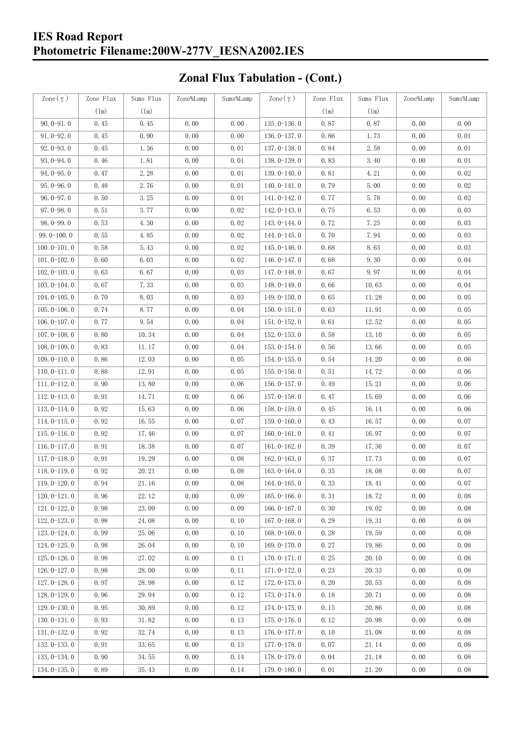### **IES Road Report Photometric Filename:200W-277V\_IESNA2002.IES**

# **Zonal Flux Tabulation - (Cont.)**

| $\text{Zone}(\gamma)$ | Zone Flux | Sums Flux | Zone%Lamp | Sums%Lamp | Zone $(\gamma)$ | Zone Flux | Sums Flux | Zone%Lamp | Sums%Lamp |
|-----------------------|-----------|-----------|-----------|-----------|-----------------|-----------|-----------|-----------|-----------|
|                       | (1m)      | (1m)      |           |           |                 | (1m)      | (1m)      |           |           |
| $90.0 - 91.0$         | 0.45      | 0.45      | 0.00      | 0.00      | $135.0 - 136.0$ | 0.87      | 0.87      | 0.00      | 0.00      |
| $91.0 - 92.0$         | 0.45      | 0.90      | 0.00      | 0.00      | $136.0 - 137.0$ | 0.86      | 1.73      | 0.00      | 0.01      |
| $92.0 - 93.0$         | 0.45      | 1.36      | 0.00      | 0.01      | 137.0-138.0     | 0.84      | 2.58      | 0.00      | 0.01      |
| $93.0 - 94.0$         | 0.46      | 1.81      | 0.00      | 0.01      | 138.0-139.0     | 0.83      | 3.40      | 0.00      | 0.01      |
| $94.0 - 95.0$         | 0.47      | 2.28      | 0.00      | 0.01      | 139.0-140.0     | 0.81      | 4.21      | 0.00      | 0.02      |
| $95.0 - 96.0$         | 0.48      | 2.76      | 0.00      | 0.01      | $140.0 - 141.0$ | 0.79      | 5.00      | 0.00      | 0.02      |
| $96.0 - 97.0$         | 0.50      | 3.25      | 0.00      | 0.01      | 141.0-142.0     | 0.77      | 5.78      | 0.00      | 0.02      |
| $97.0 - 98.0$         | 0.51      | 3.77      | 0.00      | 0.02      | 142.0-143.0     | 0.75      | 6.53      | 0.00      | 0.03      |
| $98.0 - 99.0$         | 0.53      | 4.30      | 0.00      | 0.02      | 143.0-144.0     | 0.72      | 7.25      | 0.00      | 0.03      |
| $99.0 - 100.0$        | 0.55      | 4.85      | 0.00      | 0.02      | $144.0 - 145.0$ | 0.70      | 7.94      | 0.00      | 0.03      |
| $100.0 - 101.0$       | 0.58      | 5.43      | 0.00      | 0.02      | $145.0 - 146.0$ | 0.68      | 8.63      | 0.00      | 0.03      |
| $101.0 - 102.0$       | 0.60      | 6.03      | 0.00      | 0.02      | $146.0 - 147.0$ | 0.68      | 9.30      | 0.00      | 0.04      |
| $102.0 - 103.0$       | 0.63      | 6.67      | 0.00      | 0.03      | 147.0-148.0     | 0.67      | 9.97      | 0.00      | 0.04      |
| $103.0 - 104.0$       | 0.67      | 7.33      | 0.00      | 0.03      | 148.0-149.0     | 0.66      | 10.63     | 0.00      | 0.04      |
| $104.0 - 105.0$       | 0.70      | 8.03      | 0.00      | 0.03      | $149.0 - 150.0$ | 0.65      | 11.28     | 0.00      | 0.05      |
| $105.0 - 106.0$       | 0.74      | 8.77      | 0.00      | 0.04      | $150.0 - 151.0$ | 0.63      | 11.91     | 0.00      | 0.05      |
| $106.0 - 107.0$       | 0.77      | 9.54      | 0.00      | 0.04      | $151.0 - 152.0$ | 0.61      | 12.52     | 0.00      | 0.05      |
| $107.0 - 108.0$       | 0.80      | 10.34     | 0.00      | 0.04      | $152.0 - 153.0$ | 0.58      | 13.10     | 0.00      | 0.05      |
| $108.0 - 109.0$       | 0.83      | 11.17     | 0.00      | 0.04      | $153.0 - 154.0$ | 0.56      | 13.66     | 0.00      | 0.05      |
| $109.0 - 110.0$       | 0.86      | 12.03     | 0.00      | 0.05      | 154.0-155.0     | 0.54      | 14.20     | 0.00      | 0.06      |
| $110.0 - 111.0$       | 0.88      | 12.91     | 0.00      | 0.05      | $155.0 - 156.0$ | 0.51      | 14.72     | 0.00      | 0.06      |
| $111.0 - 112.0$       | 0.90      | 13.80     | 0.00      | 0.06      | $156.0 - 157.0$ | 0.49      | 15.21     | 0.00      | 0.06      |
| $112.0 - 113.0$       | 0.91      | 14.71     | 0.00      | 0.06      | $157.0 - 158.0$ | 0.47      | 15.69     | 0.00      | 0.06      |
| $113.0 - 114.0$       | 0.92      | 15.63     | 0.00      | 0.06      | $158.0 - 159.0$ | 0.45      | 16.14     | 0.00      | 0.06      |
| $114.0 - 115.0$       | 0.92      | 16.55     | 0.00      | 0.07      | $159.0 - 160.0$ | 0.43      | 16.57     | 0.00      | 0.07      |
| $115.0 - 116.0$       | 0.92      | 17.46     | 0.00      | 0.07      | $160.0 - 161.0$ | 0.41      | 16.97     | 0.00      | 0.07      |
| $116.0 - 117.0$       | 0.91      | 18.38     | 0.00      | 0.07      | $161.0 - 162.0$ | 0.39      | 17.36     | 0.00      | 0.07      |
| $117.0 - 118.0$       | 0.91      | 19.29     | 0.00      | 0.08      | $162.0 - 163.0$ | 0.37      | 17.73     | 0.00      | 0.07      |
| $118.0 - 119.0$       | 0.92      | 20.21     | 0.00      | 0.08      | $163.0 - 164.0$ | 0.35      | 18.08     | 0.00      | 0.07      |
| $119.0 - 120.0$       | 0.94      | 21.16     | 0.00      | 0.08      | $164.0 - 165.0$ | 0.33      | 18.41     | 0.00      | 0.07      |
| $120.0 - 121.0$       | 0.96      | 22.12     | 0.00      | 0.09      | $165.0 - 166.0$ | 0.31      | 18.72     | 0.00      | 0.08      |
| $121.0 - 122.0$       | 0.98      | 23.09     | 0.00      | 0.09      | $166.0 - 167.0$ | 0.30      | 19.02     | 0.00      | 0.08      |
| $122.0 - 123.0$       | 0.98      | 24.08     | 0.00      | 0.10      | $167.0 - 168.0$ | 0.29      | 19.31     | 0.00      | 0.08      |
| $123.0 - 124.0$       | 0.99      | 25.06     | 0.00      | 0.10      | $168.0 - 169.0$ | 0.28      | 19.59     | 0.00      | 0.08      |
| $124.0 - 125.0$       | 0.98      | 26.04     | 0.00      | 0.10      | 169.0-170.0     | 0.27      | 19.86     | 0.00      | 0.08      |
| $125.0 - 126.0$       | 0.98      | 27.02     | 0.00      | 0.11      | $170.0 - 171.0$ | 0.25      | 20.10     | 0.00      | 0.08      |
| 126.0-127.0           | 0.98      | 28.00     | 0.00      | 0.11      | 171.0-172.0     | 0.23      | 20.33     | 0.00      | 0.08      |
| $127.0 - 128.0$       | 0.97      | 28.98     | 0.00      | 0.12      | 172.0-173.0     | 0.20      | 20.53     | 0.00      | 0.08      |
| $128.0 - 129.0$       | 0.96      | 29.94     | 0.00      | 0.12      | 173.0-174.0     | 0.18      | 20.71     | 0.00      | 0.08      |
| $129.0 - 130.0$       | 0.95      | 30.89     | 0.00      | 0.12      | 174.0-175.0     | 0.15      | 20.86     | 0.00      | 0.08      |
| $130.0 - 131.0$       | 0.93      | 31.82     | 0.00      | 0.13      | $175.0 - 176.0$ | 0.12      | 20.98     | 0.00      | 0.08      |
| $131.0 - 132.0$       | 0.92      | 32.74     | 0.00      | 0.13      | $176.0 - 177.0$ | 0.10      | 21.08     | 0.00      | 0.08      |
| $132.0 - 133.0$       | 0.91      | 33.65     | 0.00      | 0.13      | 177.0-178.0     | 0.07      | 21.14     | 0.00      | 0.08      |
| $133.0 - 134.0$       | 0.90      | 34.55     | 0.00      | 0.14      | 178.0-179.0     | 0.04      | 21.18     | 0.00      | 0.08      |
| $134.0 - 135.0$       | 0.89      | 35.43     | 0.00      | 0.14      | $179.0 - 180.0$ | 0.01      | 21.20     | 0.00      | 0.08      |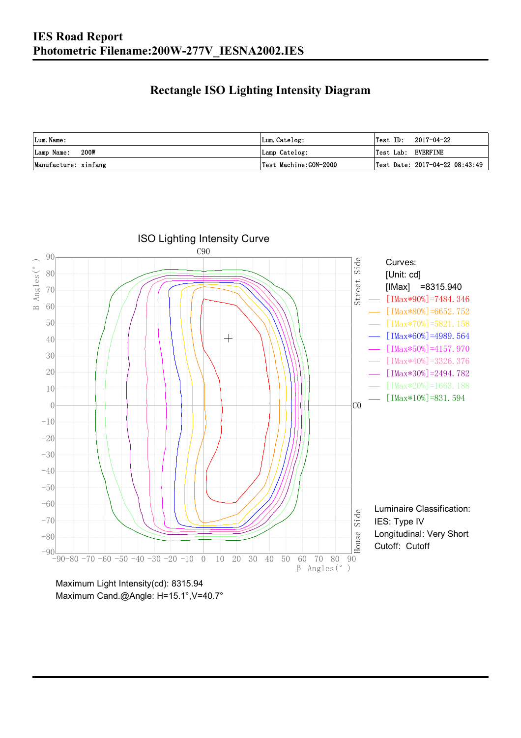### **Rectangle ISO Lighting Intensity Diagram**

| Lum. Name:           | Lum.Catelog:          | $Test ID: 2017-04-22$          |
|----------------------|-----------------------|--------------------------------|
| 200W<br>Lamp Name:   | Lamp Catelog:         | Test Lab: EVERFINE             |
| Manufacture: xinfang | Test Machine:GON-2000 | Test Date: 2017-04-22 08:43:49 |



Maximum Cand.@Angle: H=15.1°, V=40.7°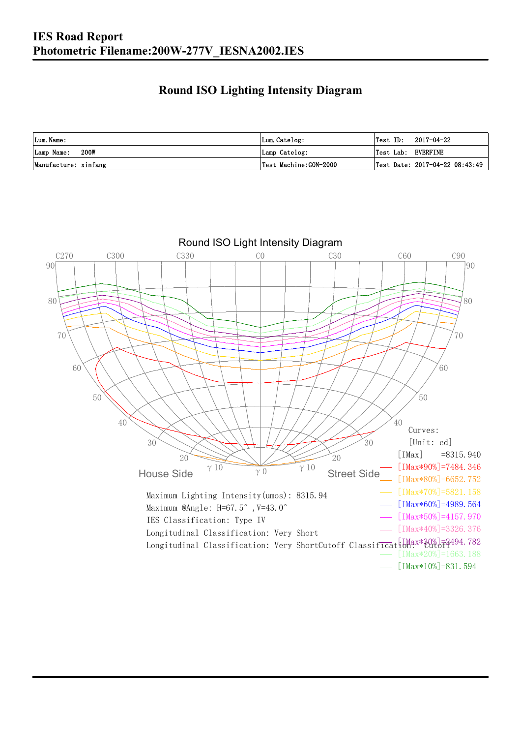### **Round ISO Lighting Intensity Diagram**

| Lum. Name:           | Lum.Catelog:          | 2017-04-22<br>Test ID:         |
|----------------------|-----------------------|--------------------------------|
| 200W<br>Lamp Name:   | Lamp Catelog:         | Test Lab: EVERFINE             |
| Manufacture: xinfang | Test Machine:GON-2000 | Test Date: 2017-04-22 08:43:49 |

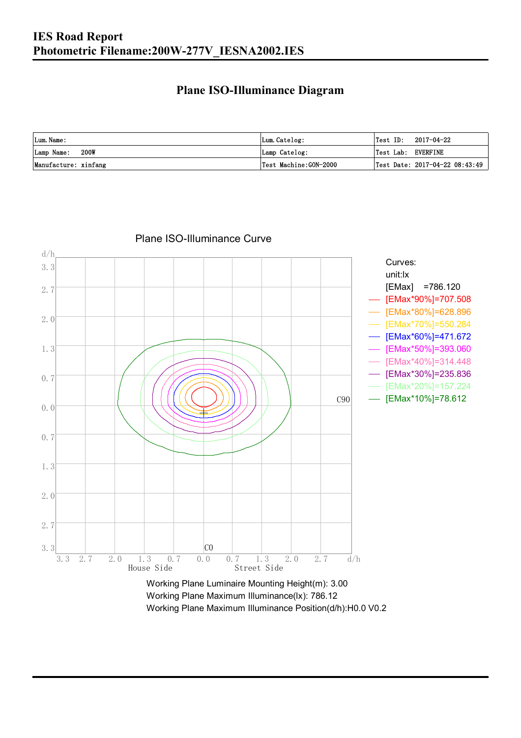#### **Plane ISO-Illuminance Diagram**

| Lum. Name:           | Lum.Catelog:          | $\textsf{Test ID:} \quad 2017-04-22$ |
|----------------------|-----------------------|--------------------------------------|
| 200W<br>Lamp Name:   | Lamp Catelog:         | Test Lab: EVERFINE                   |
| Manufacture: xinfang | Test Machine:GON-2000 | Test Date: $2017-04-22$ $08:43:49$   |



Plane ISO-Illuminance Curve

Working Plane Maximum Illuminance(lx): 786.12 Working Plane Maximum Illuminance Position(d/h):H0.0 V0.2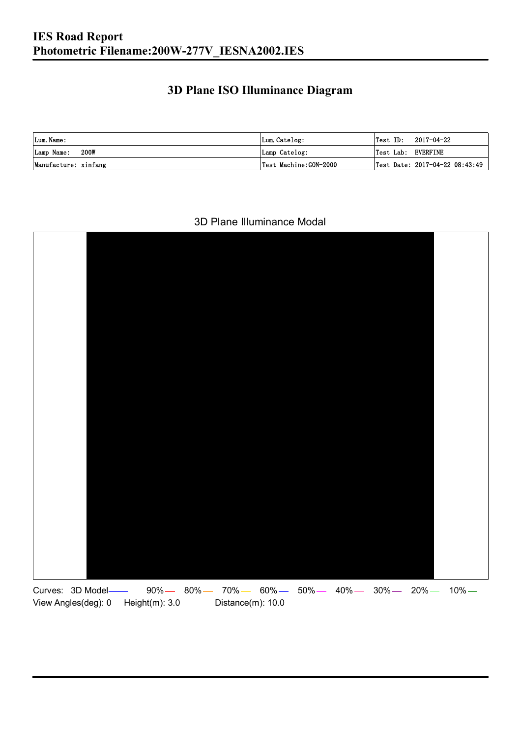### **3D Plane ISO Illuminance Diagram**

| Lum. Name:           | Lum.Catelog:          |                    | $\textsf{Test ID:} \quad 2017-04-22$ |
|----------------------|-----------------------|--------------------|--------------------------------------|
| 200W<br>Lamp Name:   | Lamp Catelog:         | Test Lab: EVERFINE |                                      |
| Manufacture: xinfang | Test Machine:GON-2000 |                    | Test Date: 2017-04-22 08:43:49       |

#### 3D Plane Illuminance Modal

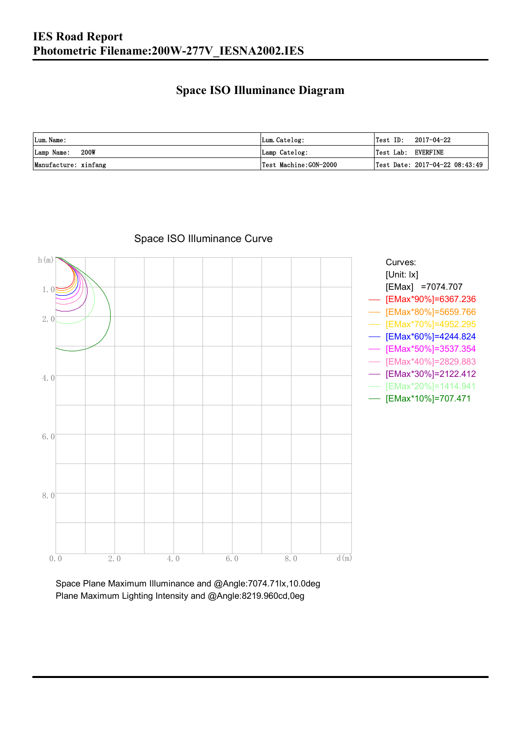### **Space ISO Illuminance Diagram**

| Lum. Name:           | Lum.Catelog:          | Test ID:<br>2017-04-22             |
|----------------------|-----------------------|------------------------------------|
| 200W<br>Lamp Name:   | Lamp Catelog:         | Test Lab: EVERFINE                 |
| Manufacture: xinfang | Test Machine:GON-2000 | Test Date: $2017-04-22$ $08:43:49$ |



#### Space ISO Illuminance Curve

Space Plane Maximum Illuminance and @Angle:7074.71lx,10.0deg Plane Maximum Lighting Intensity and @Angle:8219.960cd,0eg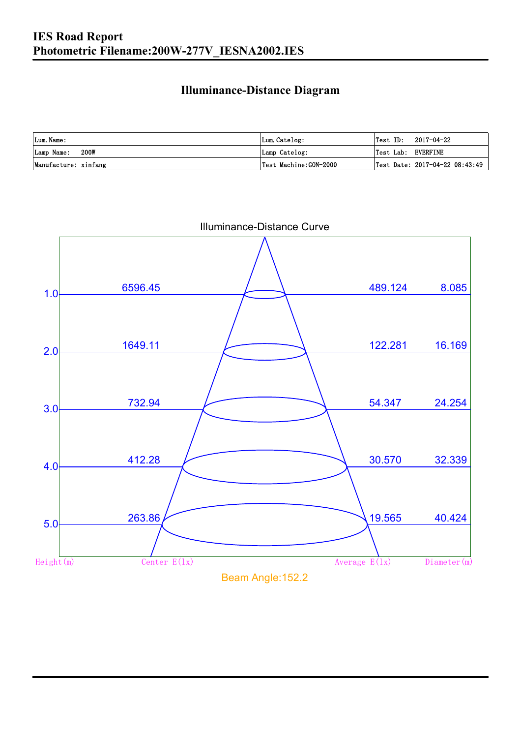### **Illuminance-Distance Diagram**

| Lum. Name:           | Lum.Catelog:          | 'Test ID:          | 2017-04-22                     |
|----------------------|-----------------------|--------------------|--------------------------------|
| Lamp Name: 200W      | Lamp Catelog:         | Test Lab: EVERFINE |                                |
| Manufacture: xinfang | Test Machine:GON-2000 |                    | Test Date: 2017-04-22 08:43:49 |

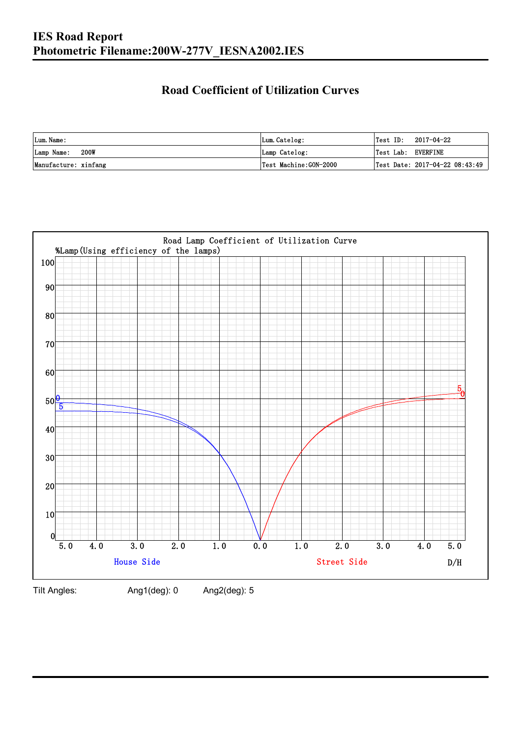### **Road Coefficient of Utilization Curves**

| Lum. Name:           | Lum.Catelog:          | Test ID:           | 2017-04-22                     |
|----------------------|-----------------------|--------------------|--------------------------------|
| 200W<br>Lamp Name:   | Lamp Catelog:         | Test Lab: EVERFINE |                                |
| Manufacture: xinfang | Test Machine:GON-2000 |                    | Test Date: 2017-04-22 08:43:49 |



Tilt Angles: Ang1(deg): 0 Ang2(deg): 5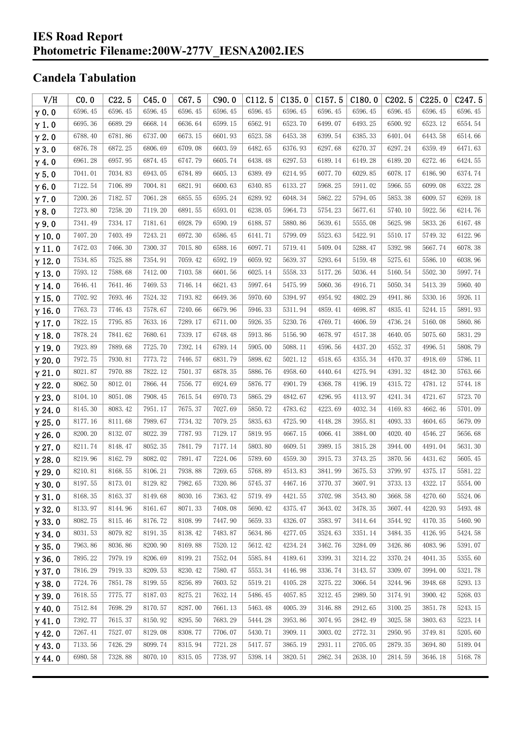#### **IES Road Report Photometric Filename:200W-277V\_IESNA2002.IES**

### **Candela Tabulation**

| V/H           | CO.0    | C22.5   | C45.0   | C67.5   | C90.0   | C112.5  | C135.0  | C157.5  | C180.0  | C <sub>202.5</sub> | C225.0  | C <sub>247.5</sub> |
|---------------|---------|---------|---------|---------|---------|---------|---------|---------|---------|--------------------|---------|--------------------|
| $\gamma$ 0.0  | 6596.45 | 6596.45 | 6596.45 | 6596.45 | 6596.45 | 6596.45 | 6596.45 | 6596.45 | 6596.45 | 6596.45            | 6596.45 | 6596.45            |
| $\gamma$ 1.0  | 6695.36 | 6689.29 | 6668.14 | 6636.64 | 6599.15 | 6562.91 | 6523.70 | 6499.07 | 6493.25 | 6500.92            | 6523.12 | 6554.54            |
| $\gamma$ 2.0  | 6788.40 | 6781.86 | 6737.00 | 6673.15 | 6601.93 | 6523.58 | 6453.38 | 6399.54 | 6385.33 | 6401.04            | 6443.58 | 6514.66            |
| $\gamma$ 3.0  | 6876.78 | 6872.25 | 6806.69 | 6709.08 | 6603.59 | 6482.65 | 6376.93 | 6297.68 | 6270.37 | 6297.24            | 6359.49 | 6471.63            |
| $\gamma$ 4.0  | 6961.28 | 6957.95 | 6874.45 | 6747.79 | 6605.74 | 6438.48 | 6297.53 | 6189.14 | 6149.28 | 6189.20            | 6272.46 | 6424.55            |
| $\gamma$ 5.0  | 7041.01 | 7034.83 | 6943.05 | 6784.89 | 6605.13 | 6389.49 | 6214.95 | 6077.70 | 6029.85 | 6078.17            | 6186.90 | 6374.74            |
| $\gamma$ 6.0  | 7122.54 | 7106.89 | 7004.81 | 6821.91 | 6600.63 | 6340.85 | 6133.27 | 5968.25 | 5911.02 | 5966.55            | 6099.08 | 6322.28            |
| $\gamma$ 7.0  | 7200.26 | 7182.57 | 7061.28 | 6855.55 | 6595.24 | 6289.92 | 6048.34 | 5862.22 | 5794.05 | 5853.38            | 6009.57 | 6269.18            |
| $\gamma$ 8.0  | 7273.80 | 7258.20 | 7119.20 | 6891.55 | 6593.01 | 6238.05 | 5964.73 | 5754.23 | 5677.61 | 5740.10            | 5922.56 | 6214.76            |
| $\gamma$ 9.0  | 7341.49 | 7334.17 | 7181.61 | 6928.79 | 6590.19 | 6188.57 | 5880.86 | 5639.61 | 5555.08 | 5625.98            | 5833.26 | 6167.48            |
| $\gamma$ 10.0 | 7407.20 | 7403.49 | 7243.21 | 6972.30 | 6586.45 | 6141.71 | 5799.09 | 5523.63 | 5422.91 | 5510.17            | 5749.32 | 6122.96            |
| $\gamma$ 11.0 | 7472.03 | 7466.30 | 7300.37 | 7015.80 | 6588.16 | 6097.71 | 5719.41 | 5409.04 | 5288.47 | 5392.98            | 5667.74 | 6078.38            |
| $\gamma$ 12.0 | 7534.85 | 7525.88 | 7354.91 | 7059.42 | 6592.19 | 6059.92 | 5639.37 | 5293.64 | 5159.48 | 5275.61            | 5586.10 | 6038.96            |
| $\gamma$ 13.0 | 7593.12 | 7588.68 | 7412.00 | 7103.58 | 6601.56 | 6025.14 | 5558.33 | 5177.26 | 5036.44 | 5160.54            | 5502.30 | 5997.74            |
| $\gamma$ 14.0 | 7646.41 | 7641.46 | 7469.53 | 7146.14 | 6621.43 | 5997.64 | 5475.99 | 5060.36 | 4916.71 | 5050.34            | 5413.39 | 5960.40            |
| $\gamma$ 15.0 | 7702.92 | 7693.46 | 7524.32 | 7193.82 | 6649.36 | 5970.60 | 5394.97 | 4954.92 | 4802.29 | 4941.86            | 5330.16 | 5926.11            |
| $\gamma$ 16.0 | 7763.73 | 7746.43 | 7578.67 | 7240.66 | 6679.96 | 5946.33 | 5311.94 | 4859.41 | 4698.87 | 4835.41            | 5244.15 | 5891.93            |
| $\gamma$ 17.0 | 7822.15 | 7795.85 | 7633.16 | 7289.17 | 6711.00 | 5926.35 | 5230.76 | 4769.71 | 4606.59 | 4736.24            | 5160.08 | 5860.86            |
| $\gamma$ 18.0 | 7878.24 | 7841.62 | 7680.61 | 7339.17 | 6748.48 | 5913.86 | 5156.90 | 4678.97 | 4517.38 | 4640.05            | 5075.60 | 5831.29            |
| $\gamma$ 19.0 | 7923.89 | 7889.68 | 7725.70 | 7392.14 | 6789.14 | 5905.00 | 5088.11 | 4596.56 | 4437.20 | 4552.37            | 4996.51 | 5808.79            |
| $\gamma$ 20.0 | 7972.75 | 7930.81 | 7773.72 | 7446.57 | 6831.79 | 5898.62 | 5021.12 | 4518.65 | 4355.34 | 4470.37            | 4918.69 | 5786.11            |
| $\gamma$ 21.0 | 8021.87 | 7970.88 | 7822.12 | 7501.37 | 6878.35 | 5886.76 | 4958.60 | 4440.64 | 4275.94 | 4391.32            | 4842.30 | 5763.66            |
| $\gamma$ 22.0 | 8062.50 | 8012.01 | 7866.44 | 7556.77 | 6924.69 | 5876.77 | 4901.79 | 4368.78 | 4196.19 | 4315.72            | 4781.12 | 5744.18            |
| $\gamma$ 23.0 | 8104.10 | 8051.08 | 7908.45 | 7615.54 | 6970.73 | 5865.29 | 4842.67 | 4296.95 | 4113.97 | 4241.34            | 4721.67 | 5723.70            |
| $\gamma$ 24.0 | 8145.30 | 8083.42 | 7951.17 | 7675.37 | 7027.69 | 5850.72 | 4783.62 | 4223.69 | 4032.34 | 4169.83            | 4662.46 | 5701.09            |
| $\gamma$ 25.0 | 8177.16 | 8111.68 | 7989.67 | 7734.32 | 7079.25 | 5835.63 | 4725.90 | 4148.28 | 3955.81 | 4093.33            | 4604.65 | 5679.09            |
| $\gamma$ 26.0 | 8200.20 | 8132.07 | 8022.39 | 7787.93 | 7129.17 | 5819.95 | 4667.15 | 4066.41 | 3884.00 | 4020.40            | 4546.27 | 5656.68            |
| $\gamma$ 27.0 | 8211.74 | 8148.47 | 8052.35 | 7841.79 | 7177.14 | 5803.80 | 4609.51 | 3989.15 | 3815.28 | 3944.00            | 4491.04 | 5631.30            |
| $\gamma$ 28.0 | 8219.96 | 8162.79 | 8082.02 | 7891.47 | 7224.06 | 5789.60 | 4559.30 | 3915.73 | 3743.25 | 3870.56            | 4431.62 | 5605.45            |
| $\gamma$ 29.0 | 8210.81 | 8168.55 | 8106.21 | 7938.88 | 7269.65 | 5768.89 | 4513.83 | 3841.99 | 3675.53 | 3799.97            | 4375.17 | 5581.22            |
| $\gamma$ 30.0 | 8197.55 | 8173.01 | 8129.82 | 7982.65 | 7320.86 | 5745.37 | 4467.16 | 3770.37 | 3607.91 | 3733.13            | 4322.17 | 5554.00            |
| $\gamma$ 31.0 | 8168.35 | 8163.37 | 8149.68 | 8030.16 | 7363.42 | 5719.49 | 4421.55 | 3702.98 | 3543.80 | 3668.58            | 4270.60 | 5524.06            |
| $\gamma$ 32.0 | 8133.97 | 8144.96 | 8161.67 | 8071.33 | 7408.08 | 5690.42 | 4375.47 | 3643.02 | 3478.35 | 3607.44            | 4220.93 | 5493.48            |
| $\gamma$ 33.0 | 8082.75 | 8115.46 | 8176.72 | 8108.99 | 7447.90 | 5659.33 | 4326.07 | 3583.97 | 3414.64 | 3544.92            | 4170.35 | 5460.90            |
| $\gamma$ 34.0 | 8031.53 | 8079.82 | 8191.35 | 8138.42 | 7483.87 | 5634.86 | 4277.05 | 3524.63 | 3351.14 | 3484.35            | 4126.95 | 5424.58            |
| $\gamma$ 35.0 | 7963.86 | 8036.86 | 8200.90 | 8169.88 | 7520.12 | 5612.42 | 4234.24 | 3462.76 | 3284.09 | 3426.86            | 4083.96 | 5391.07            |
| $\gamma$ 36.0 | 7895.22 | 7979.19 | 8206.69 | 8199.21 | 7552.04 | 5585.84 | 4189.61 | 3399.31 | 3214.22 | 3370.24            | 4041.35 | 5355.60            |
| $\gamma$ 37.0 | 7816.29 | 7919.33 | 8209.53 | 8230.42 | 7580.47 | 5553.34 | 4146.98 | 3336.74 | 3143.57 | 3309.07            | 3994.00 | 5321.78            |
| $\gamma$ 38.0 | 7724.76 | 7851.78 | 8199.55 | 8256.89 | 7603.52 | 5519.21 | 4105.28 | 3275.22 | 3066.54 | 3244.96            | 3948.68 | 5293.13            |
| $\gamma$ 39.0 | 7618.55 | 7775.77 | 8187.03 | 8275.21 | 7632.14 | 5486.45 | 4057.85 | 3212.45 | 2989.50 | 3174.91            | 3900.42 | 5268.03            |
| $\gamma$ 40.0 | 7512.84 | 7698.29 | 8170.57 | 8287.00 | 7661.13 | 5463.48 | 4005.39 | 3146.88 | 2912.65 | 3100.25            | 3851.78 | 5243.15            |
| $\gamma$ 41.0 | 7392.77 | 7615.37 | 8150.92 | 8295.50 | 7683.29 | 5444.28 | 3953.86 | 3074.95 | 2842.49 | 3025.58            | 3803.63 | 5223.14            |
| $\gamma$ 42.0 | 7267.41 | 7527.07 | 8129.08 | 8308.77 | 7706.07 | 5430.71 | 3909.11 | 3003.02 | 2772.31 | 2950.95            | 3749.81 | 5205.60            |
| $\gamma$ 43.0 | 7133.56 | 7426.29 | 8099.74 | 8315.94 | 7721.28 | 5417.57 | 3865.19 | 2931.11 | 2705.05 | 2879.35            | 3694.80 | 5189.04            |
| $\gamma$ 44.0 | 6980.58 | 7328.88 | 8070.10 | 8315.05 | 7738.97 | 5398.14 | 3820.51 | 2862.34 | 2638.10 | 2814.59            | 3646.18 | 5168.78            |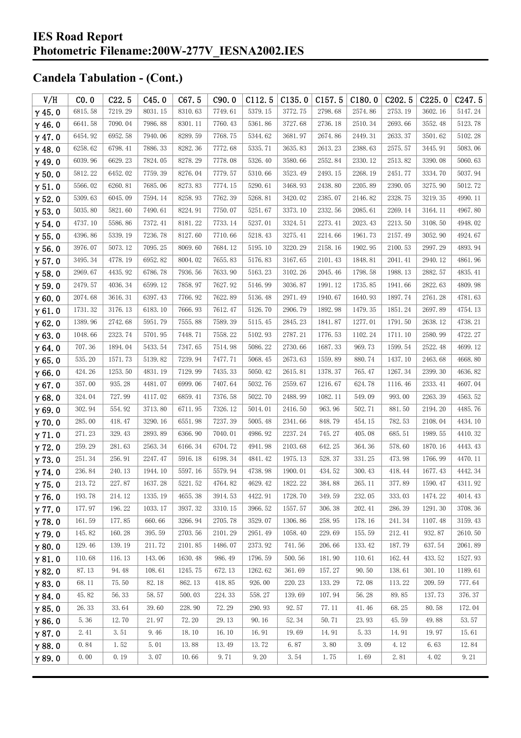| V/H           | CO.0    | C22.5   | C45.0   | C67.5   | C90.0   | C112.5  | C135.0  | C157.5  | C180.0  | C202.5  | C225.0  | C <sub>247.5</sub> |
|---------------|---------|---------|---------|---------|---------|---------|---------|---------|---------|---------|---------|--------------------|
| $\gamma$ 45.0 | 6815.58 | 7219.29 | 8031.15 | 8310.63 | 7749.61 | 5379.15 | 3772.75 | 2798.68 | 2574.86 | 2753.19 | 3602.16 | 5147.24            |
| $\gamma$ 46.0 | 6641.58 | 7090.04 | 7986.88 | 8301.11 | 7760.43 | 5361.86 | 3727.68 | 2736.18 | 2510.34 | 2693.66 | 3552.48 | 5123.78            |
| $\gamma$ 47.0 | 6454.92 | 6952.58 | 7940.06 | 8289.59 | 7768.75 | 5344.62 | 3681.97 | 2674.86 | 2449.31 | 2633.37 | 3501.62 | 5102.28            |
| $\gamma$ 48.0 | 6258.62 | 6798.41 | 7886.33 | 8282.36 | 7772.68 | 5335.71 | 3635.83 | 2613.23 | 2388.63 | 2575.57 | 3445.91 | 5083.06            |
| $\gamma$ 49.0 | 6039.96 | 6629.23 | 7824.05 | 8278.29 | 7778.08 | 5326.40 | 3580.66 | 2552.84 | 2330.12 | 2513.82 | 3390.08 | 5060.63            |
| $\gamma$ 50.0 | 5812.22 | 6452.02 | 7759.39 | 8276.04 | 7779.57 | 5310.66 | 3523.49 | 2493.15 | 2268.19 | 2451.77 | 3334.70 | 5037.94            |
| $\gamma$ 51.0 | 5566.02 | 6260.81 | 7685.06 | 8273.83 | 7774.15 | 5290.61 | 3468.93 | 2438.80 | 2205.89 | 2390.05 | 3275.90 | 5012.72            |
| $\gamma$ 52.0 | 5309.63 | 6045.09 | 7594.14 | 8258.93 | 7762.39 | 5268.81 | 3420.02 | 2385.07 | 2146.82 | 2328.75 | 3219.35 | 4990.11            |
| $\gamma$ 53.0 | 5035.80 | 5821.60 | 7490.61 | 8224.91 | 7750.07 | 5251.67 | 3373.10 | 2332.56 | 2085.61 | 2269.14 | 3164.11 | 4967.80            |
| $\gamma$ 54.0 | 4737.10 | 5586.86 | 7372.41 | 8181.22 | 7733.14 | 5237.01 | 3324.51 | 2273.41 | 2023.43 | 2213.50 | 3108.50 | 4948.02            |
| $\gamma$ 55.0 | 4396.86 | 5339.19 | 7236.78 | 8127.60 | 7710.66 | 5218.43 | 3275.41 | 2214.66 | 1961.73 | 2157.49 | 3052.90 | 4924.67            |
| $\gamma$ 56.0 | 3976.07 | 5073.12 | 7095.25 | 8069.60 | 7684.12 | 5195.10 | 3220.29 | 2158.16 | 1902.95 | 2100.53 | 2997.29 | 4893.94            |
| $\gamma$ 57.0 | 3495.34 | 4778.19 | 6952.82 | 8004.02 | 7655.83 | 5176.83 | 3167.65 | 2101.43 | 1848.81 | 2041.41 | 2940.12 | 4861.96            |
| $\gamma$ 58.0 | 2969.67 | 4435.92 | 6786.78 | 7936.56 | 7633.90 | 5163.23 | 3102.26 | 2045.46 | 1798.58 | 1988.13 | 2882.57 | 4835.41            |
| $\gamma$ 59.0 | 2479.57 | 4036.34 | 6599.12 | 7858.97 | 7627.92 | 5146.99 | 3036.87 | 1991.12 | 1735.85 | 1941.66 | 2822.63 | 4809.98            |
| $\gamma$ 60.0 | 2074.68 | 3616.31 | 6397.43 | 7766.92 | 7622.89 | 5136.48 | 2971.49 | 1940.67 | 1640.93 | 1897.74 | 2761.28 | 4781.63            |
| $\gamma$ 61.0 | 1731.32 | 3176.13 | 6183.10 | 7666.93 | 7612.47 | 5126.70 | 2906.79 | 1892.98 | 1479.35 | 1851.24 | 2697.89 | 4754.13            |
| $\gamma$ 62.0 | 1389.96 | 2742.68 | 5951.79 | 7555.88 | 7589.39 | 5115.45 | 2845.23 | 1841.87 | 1277.01 | 1791.50 | 2638.12 | 4738.21            |
| $\gamma$ 63.0 | 1048.66 | 2323.74 | 5701.95 | 7448.71 | 7558.22 | 5102.93 | 2787.21 | 1776.53 | 1102.24 | 1711.10 | 2580.99 | 4722.27            |
| $\gamma$ 64.0 | 707.36  | 1894.04 | 5433.54 | 7347.65 | 7514.98 | 5086.22 | 2730.66 | 1687.33 | 969.73  | 1599.54 | 2522.48 | 4699.12            |
| $\gamma$ 65.0 | 535.20  | 1571.73 | 5139.82 | 7239.94 | 7477.71 | 5068.45 | 2673.63 | 1559.89 | 880.74  | 1437.10 | 2463.68 | 4668.80            |
| $\gamma$ 66.0 | 424.26  | 1253.50 | 4831.19 | 7129.99 | 7435.33 | 5050.42 | 2615.81 | 1378.37 | 765.47  | 1267.34 | 2399.30 | 4636.82            |
| $\gamma$ 67.0 | 357.00  | 935.28  | 4481.07 | 6999.06 | 7407.64 | 5032.76 | 2559.67 | 1216.67 | 624.78  | 1116.46 | 2333.41 | 4607.04            |
| $\gamma$ 68.0 | 324.04  | 727.99  | 4117.02 | 6859.41 | 7376.58 | 5022.70 | 2488.99 | 1082.11 | 549.09  | 993.00  | 2263.39 | 4563.52            |
| $\gamma$ 69.0 | 302.94  | 554.92  | 3713.80 | 6711.95 | 7326.12 | 5014.01 | 2416.50 | 963.96  | 502.71  | 881.50  | 2194.20 | 4485.76            |
| $\gamma$ 70.0 | 285.00  | 418.47  | 3290.16 | 6551.98 | 7237.39 | 5005.48 | 2341.66 | 848.79  | 454.15  | 782.53  | 2108.04 | 4434.10            |
| $\gamma$ 71.0 | 271.23  | 329.43  | 2893.89 | 6366.90 | 7040.01 | 4986.92 | 2237.24 | 745.27  | 405.08  | 685.51  | 1989.55 | 4410.32            |
| $\gamma$ 72.0 | 259.29  | 281.63  | 2563.34 | 6166.34 | 6704.72 | 4941.98 | 2103.68 | 642.25  | 364.36  | 578.60  | 1870.16 | 4443.43            |
| $\gamma$ 73.0 | 251.34  | 256.91  | 2247.47 | 5916.18 | 6198.34 | 4841.42 | 1975.13 | 528.37  | 331.25  | 473.98  | 1766.99 | 4470.11            |
| $\gamma$ 74.0 | 236.84  | 240.13  | 1944.10 | 5597.16 | 5579.94 | 4738.98 | 1900.01 | 434.52  | 300.43  | 418.44  | 1677.43 | 4442.34            |
| $\gamma$ 75.0 | 213.72  | 227.87  | 1637.28 | 5221.52 | 4764.82 | 4629.42 | 1822.22 | 384.88  | 265.11  | 377.89  | 1590.47 | 4311.92            |
| $\gamma$ 76.0 | 193.78  | 214.12  | 1335.19 | 4655.38 | 3914.53 | 4422.91 | 1728.70 | 349.59  | 232.05  | 333.03  | 1474.22 | 4014.43            |
| $\gamma$ 77.0 | 177.97  | 196.22  | 1033.17 | 3937.32 | 3310.15 | 3966.52 | 1557.57 | 306.38  | 202.41  | 286.39  | 1291.30 | 3708.36            |
| $\gamma$ 78.0 | 161.59  | 177.85  | 660.66  | 3266.94 | 2705.78 | 3529.07 | 1306.86 | 258.95  | 178.16  | 241.34  | 1107.48 | 3159.43            |
| $\gamma$ 79.0 | 145.82  | 160.28  | 395.59  | 2703.56 | 2101.29 | 2951.49 | 1058.40 | 229.69  | 155.59  | 212.41  | 932.87  | 2610.50            |
| $\gamma$ 80.0 | 129.46  | 139.19  | 211.72  | 2101.85 | 1486.07 | 2373.92 | 741.56  | 206.66  | 133.42  | 187.79  | 637.54  | 2061.89            |
| $\gamma$ 81.0 | 110.68  | 116.13  | 143.06  | 1630.48 | 986.49  | 1796.59 | 500.56  | 181.90  | 110.61  | 162.44  | 433.52  | 1527.93            |
| $\gamma$ 82.0 | 87.13   | 94.48   | 108.61  | 1245.75 | 672.13  | 1262.62 | 361.69  | 157.27  | 90.50   | 138.61  | 301.10  | 1189.61            |
| $\gamma$ 83.0 | 68.11   | 75.50   | 82.18   | 862.13  | 418.85  | 926.00  | 220.23  | 133.29  | 72.08   | 113.22  | 209.59  | 777.64             |
| $\gamma$ 84.0 | 45.82   | 56.33   | 58.57   | 500.03  | 224.33  | 558.27  | 139.69  | 107.94  | 56.28   | 89.85   | 137.73  | 376.37             |
| $\gamma$ 85.0 | 26.33   | 33.64   | 39.60   | 228.90  | 72.29   | 290.93  | 92.57   | 77.11   | 41.46   | 68.25   | 80.58   | 172.04             |
| $\gamma$ 86.0 | 5.36    | 12.70   | 21.97   | 72.20   | 29.13   | 90.16   | 52.34   | 50.71   | 23.93   | 45.59   | 49.88   | 53.57              |
| $\gamma$ 87.0 | 2.41    | 3.51    | 9.46    | 18.10   | 16.10   | 16.91   | 19.69   | 14.91   | 5.33    | 14.91   | 19.97   | 15.61              |
| $\gamma$ 88.0 | 0.84    | 1.52    | 5.01    | 13.88   | 13.49   | 13.72   | 6.87    | 3.80    | 3.09    | 4.12    | 6.63    | 12.84              |
| $\gamma$ 89.0 | 0.00    | 0.19    | 3.07    | 10.66   | 9.71    | 9.20    | 3.54    | 1.75    | 1.69    | 2.81    | 4.02    | 9.21               |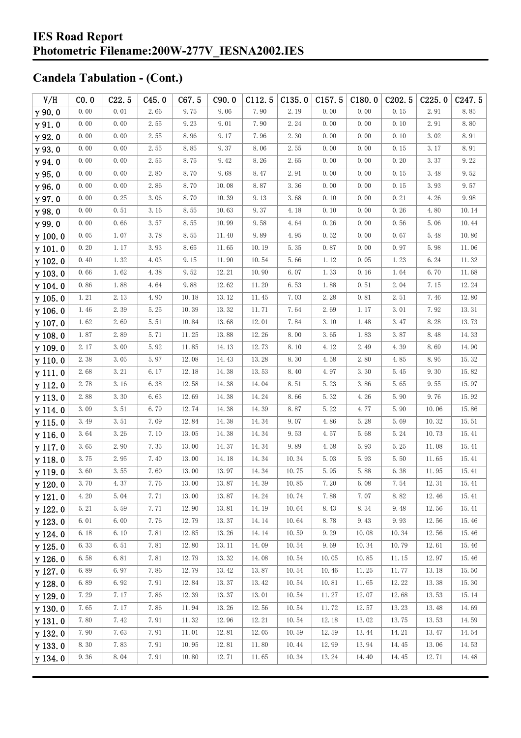| V/H            | CO.0 | C22.5 | C45.0 | C67.5 | C90.0 | C112.5 | C135.0 | $C157.5$ $C180.0$ |       | C <sub>202.5</sub> | C225.0 | C247.5 |
|----------------|------|-------|-------|-------|-------|--------|--------|-------------------|-------|--------------------|--------|--------|
| $\gamma$ 90.0  | 0.00 | 0.01  | 2.66  | 9.75  | 9.06  | 7.90   | 2.19   | 0.00              | 0.00  | 0.15               | 2.91   | 8.85   |
| $\gamma$ 91.0  | 0.00 | 0.00  | 2.55  | 9.23  | 9.01  | 7.90   | 2.24   | 0.00              | 0.00  | 0.10               | 2.91   | 8.80   |
| $\gamma$ 92.0  | 0.00 | 0.00  | 2.55  | 8.96  | 9.17  | 7.96   | 2.30   | 0.00              | 0.00  | 0.10               | 3.02   | 8.91   |
| $\gamma$ 93.0  | 0.00 | 0.00  | 2.55  | 8.85  | 9.37  | 8.06   | 2.55   | 0.00              | 0.00  | 0.15               | 3.17   | 8.91   |
| $\gamma$ 94.0  | 0.00 | 0.00  | 2.55  | 8.75  | 9.42  | 8.26   | 2.65   | 0.00              | 0.00  | 0.20               | 3.37   | 9.22   |
| $\gamma$ 95.0  | 0.00 | 0.00  | 2.80  | 8.70  | 9.68  | 8.47   | 2.91   | 0.00              | 0.00  | 0.15               | 3.48   | 9.52   |
| $\gamma$ 96.0  | 0.00 | 0.00  | 2.86  | 8.70  | 10.08 | 8.87   | 3.36   | 0.00              | 0.00  | 0.15               | 3.93   | 9.57   |
| $\gamma$ 97.0  | 0.00 | 0.25  | 3.06  | 8.70  | 10.39 | 9.13   | 3.68   | 0.10              | 0.00  | 0.21               | 4.26   | 9.98   |
| $\gamma$ 98.0  | 0.00 | 0.51  | 3.16  | 8.55  | 10.63 | 9.37   | 4.18   | 0.10              | 0.00  | 0.26               | 4.80   | 10.14  |
| $\gamma$ 99.0  | 0.00 | 0.66  | 3.57  | 8.55  | 10.99 | 9.58   | 4.64   | 0.26              | 0.00  | 0.56               | 5.06   | 10.44  |
| $\gamma$ 100.0 | 0.05 | 1.07  | 3.78  | 8.55  | 11.40 | 9.89   | 4.95   | 0.52              | 0.00  | 0.67               | 5.48   | 10.86  |
| $\gamma$ 101.0 | 0.20 | 1.17  | 3.93  | 8.65  | 11.65 | 10.19  | 5.35   | 0.87              | 0.00  | 0.97               | 5.98   | 11.06  |
| $\gamma$ 102.0 | 0.40 | 1.32  | 4.03  | 9.15  | 11.90 | 10.54  | 5.66   | 1.12              | 0.05  | 1.23               | 6.24   | 11.32  |
| $\gamma$ 103.0 | 0.66 | 1.62  | 4.38  | 9.52  | 12.21 | 10.90  | 6.07   | 1.33              | 0.16  | 1.64               | 6.70   | 11.68  |
| $\gamma$ 104.0 | 0.86 | 1.88  | 4.64  | 9.88  | 12.62 | 11.20  | 6.53   | 1.88              | 0.51  | 2.04               | 7.15   | 12.24  |
| $\gamma$ 105.0 | 1.21 | 2.13  | 4.90  | 10.18 | 13.12 | 11.45  | 7.03   | 2.28              | 0.81  | 2.51               | 7.46   | 12.80  |
| $\gamma$ 106.0 | 1.46 | 2.39  | 5.25  | 10.39 | 13.32 | 11.71  | 7.64   | 2.69              | 1.17  | 3.01               | 7.92   | 13.31  |
| $\gamma$ 107.0 | 1.62 | 2.69  | 5.51  | 10.84 | 13.68 | 12.01  | 7.84   | 3.10              | 1.48  | 3.47               | 8.28   | 13.73  |
| $\gamma$ 108.0 | 1.87 | 2.89  | 5.71  | 11.25 | 13.88 | 12.26  | 8.00   | 3.65              | 1.83  | 3.87               | 8.48   | 14.33  |
| $\gamma$ 109.0 | 2.17 | 3.00  | 5.92  | 11.85 | 14.13 | 12.73  | 8.10   | 4.12              | 2.49  | 4.39               | 8.69   | 14.90  |
| $\gamma$ 110.0 | 2.38 | 3.05  | 5.97  | 12.08 | 14.43 | 13.28  | 8.30   | 4.58              | 2.80  | 4.85               | 8.95   | 15.32  |
| $\gamma$ 111.0 | 2.68 | 3.21  | 6.17  | 12.18 | 14.38 | 13.53  | 8.40   | 4.97              | 3.30  | 5.45               | 9.30   | 15.82  |
| $\gamma$ 112.0 | 2.78 | 3.16  | 6.38  | 12.58 | 14.38 | 14.04  | 8.51   | 5.23              | 3.86  | 5.65               | 9.55   | 15.97  |
| $\gamma$ 113.0 | 2.88 | 3.30  | 6.63  | 12.69 | 14.38 | 14.24  | 8.66   | 5.32              | 4.26  | 5.90               | 9.76   | 15.92  |
| $\gamma$ 114.0 | 3.09 | 3.51  | 6.79  | 12.74 | 14.38 | 14.39  | 8.87   | 5.22              | 4.77  | 5.90               | 10.06  | 15.86  |
| $\gamma$ 115.0 | 3.49 | 3.51  | 7.09  | 12.84 | 14.38 | 14.34  | 9.07   | 4.86              | 5.28  | 5.69               | 10.32  | 15.51  |
| $\gamma$ 116.0 | 3.64 | 3.26  | 7.10  | 13.05 | 14.38 | 14.34  | 9.53   | 4.57              | 5.68  | 5.24               | 10.73  | 15.41  |
| $\gamma$ 117.0 | 3.65 | 2.90  | 7.35  | 13.00 | 14.37 | 14.34  | 9.89   | 4.58              | 5.93  | 5.25               | 11.08  | 15.41  |
| $\gamma$ 118.0 | 3.75 | 2.95  | 7.40  | 13.00 | 14.18 | 14.34  | 10.34  | 5.03              | 5.93  | 5.50               | 11.65  | 15.41  |
| $\gamma$ 119.0 | 3.60 | 3.55  | 7.60  | 13.00 | 13.97 | 14.34  | 10.75  | 5.95              | 5.88  | 6.38               | 11.95  | 15.41  |
| $\gamma$ 120.0 | 3.70 | 4.37  | 7.76  | 13.00 | 13.87 | 14.39  | 10.85  | 7.20              | 6.08  | 7.54               | 12.31  | 15.41  |
| $\gamma$ 121.0 | 4.20 | 5.04  | 7.71  | 13.00 | 13.87 | 14.24  | 10.74  | 7.88              | 7.07  | 8.82               | 12.46  | 15.41  |
| $\gamma$ 122.0 | 5.21 | 5.59  | 7.71  | 12.90 | 13.81 | 14.19  | 10.64  | 8.43              | 8.34  | 9.48               | 12.56  | 15.41  |
| $\gamma$ 123.0 | 6.01 | 6.00  | 7.76  | 12.79 | 13.37 | 14.14  | 10.64  | 8.78              | 9.43  | 9.93               | 12.56  | 15.46  |
| $\gamma$ 124.0 | 6.18 | 6.10  | 7.81  | 12.85 | 13.26 | 14.14  | 10.59  | 9.29              | 10.08 | 10.34              | 12.56  | 15.46  |
| $\gamma$ 125.0 | 6.33 | 6.51  | 7.81  | 12.80 | 13.11 | 14.09  | 10.54  | 9.69              | 10.34 | 10.79              | 12.61  | 15.46  |
| $\gamma$ 126.0 | 6.58 | 6.81  | 7.81  | 12.79 | 13.32 | 14.08  | 10.54  | 10.05             | 10.85 | 11.15              | 12.97  | 15.46  |
| $\gamma$ 127.0 | 6.89 | 6.97  | 7.86  | 12.79 | 13.42 | 13.87  | 10.54  | 10.46             | 11.25 | 11.77              | 13.18  | 15.50  |
| $\gamma$ 128.0 | 6.89 | 6.92  | 7.91  | 12.84 | 13.37 | 13.42  | 10.54  | 10.81             | 11.65 | 12.22              | 13.38  | 15.30  |
| $\gamma$ 129.0 | 7.29 | 7.17  | 7.86  | 12.39 | 13.37 | 13.01  | 10.54  | 11.27             | 12.07 | 12.68              | 13.53  | 15.14  |
| $\gamma$ 130.0 | 7.65 | 7.17  | 7.86  | 11.94 | 13.26 | 12.56  | 10.54  | 11.72             | 12.57 | 13.23              | 13.48  | 14.69  |
| $\gamma$ 131.0 | 7.80 | 7.42  | 7.91  | 11.32 | 12.96 | 12.21  | 10.54  | 12.18             | 13.02 | 13.75              | 13.53  | 14.59  |
| $\gamma$ 132.0 | 7.90 | 7.63  | 7.91  | 11.01 | 12.81 | 12.05  | 10.59  | 12.59             | 13.44 | 14.21              | 13.47  | 14.54  |
| $\gamma$ 133.0 | 8.30 | 7.83  | 7.91  | 10.95 | 12.81 | 11.80  | 10.44  | 12.99             | 13.94 | 14.45              | 13.06  | 14.53  |
| $\gamma$ 134.0 | 9.36 | 8.04  | 7.91  | 10.80 | 12.71 | 11.65  | 10.34  | 13.24             | 14.40 | 14.45              | 12.71  | 14.48  |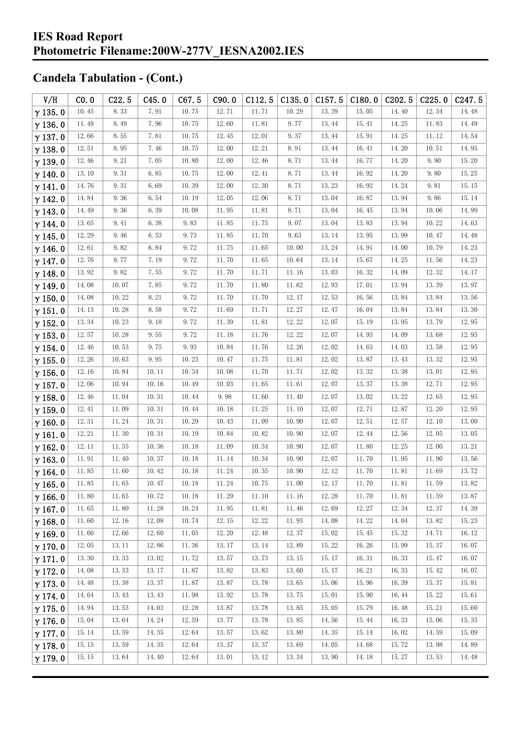| V/H            | CO.0  | C22.5 | C45.0    | C67.5 | C90.0 | C112.5 | C135.0 | C157.5 | C180.0 | C <sub>2</sub> 02.5 | C225.0 | C <sub>247.5</sub> |
|----------------|-------|-------|----------|-------|-------|--------|--------|--------|--------|---------------------|--------|--------------------|
| $\gamma$ 135.0 | 10.45 | 8.33  | 7.91     | 10.75 | 12.71 | 11.71  | 10.29  | 13.39  | 15.05  | 14.40               | 12.34  | 14.48              |
| $\gamma$ 136.0 | 11.48 | 8.49  | 7.96     | 10.75 | 12.60 | 11.81  | 9.77   | 13.44  | 15.41  | 14.25               | 11.83  | 14.49              |
| $\gamma$ 137.0 | 12.66 | 8.55  | 7.81     | 10.75 | 12.45 | 12.01  | 9.37   | 13.44  | 15.91  | 14.25               | 11.12  | 14.54              |
| $\gamma$ 138.0 | 12.51 | 8.95  | 7.46     | 10.75 | 12.00 | 12.21  | 8.91   | 13.44  | 16.41  | 14.20               | 10.51  | 14.95              |
| $\gamma$ 139.0 | 12.46 | 9.21  | 7.05     | 10.80 | 12.00 | 12.46  | 8.71   | 13.44  | 16.77  | 14.20               | 9.90   | 15.20              |
| $\gamma$ 140.0 | 13.10 | 9.31  | 6.85     | 10.75 | 12.00 | 12.41  | 8.71   | 13.44  | 16.92  | 14.20               | 9.80   | 15.25              |
| $\gamma$ 141.0 | 14.76 | 9.31  | 6.69     | 10.39 | 12.00 | 12.30  | 8.71   | 13.23  | 16.92  | 14.24               | 9.81   | 15.15              |
| $\gamma$ 142.0 | 14.84 | 9.36  | 6.54     | 10.19 | 12.05 | 12.06  | 8.71   | 13.04  | 16.87  | 13.94               | 9.86   | 15.14              |
| $\gamma$ 143.0 | 14.49 | 9.36  | 6.39     | 10.08 | 11.95 | 11.81  | 8.71   | 13.04  | 16.45  | 13.94               | 10.06  | 14.99              |
| $\gamma$ 144.0 | 13.65 | 9.41  | 6.38     | 9.83  | 11.85 | 11.75  | 9.07   | 13.04  | 13.83  | 13.94               | 10.22  | 14.63              |
| $\gamma$ 145.0 | 12.29 | 9.46  | 6.53     | 9.73  | 11.85 | 11.70  | 9.63   | 13.14  | 13.95  | 13.99               | 10.47  | 14.48              |
| $\gamma$ 146.0 | 12.61 | 9.82  | 6.84     | 9.72  | 11.75 | 11.65  | 10.00  | 13.24  | 14.91  | 14.00               | 10.79  | 14.23              |
| $\gamma$ 147.0 | 12.76 | 9.77  | 7.19     | 9.72  | 11.70 | 11.65  | 10.64  | 13.14  | 15.67  | 14.25               | 11.56  | 14.23              |
| $\gamma$ 148.0 | 13.92 | 9.82  | 7.55     | 9.72  | 11.70 | 11.71  | 11.16  | 13.03  | 16.32  | 14.09               | 12.32  | 14.17              |
| $\gamma$ 149.0 | 14.08 | 10.07 | 7.85     | 9.72  | 11.70 | 11.80  | 11.62  | 12.93  | 17.01  | 13.94               | 13.39  | 13.97              |
| $\gamma$ 150.0 | 14.08 | 10.22 | $8.\,21$ | 9.72  | 11.70 | 11.70  | 12.17  | 12.53  | 16.56  | 13.84               | 13.84  | 13.56              |
| $\gamma$ 151.0 | 14.13 | 10.28 | 8.58     | 9.72  | 11.69 | 11.71  | 12.27  | 12.47  | 16.04  | 13.84               | 13.84  | 13.30              |
| $\gamma$ 152.0 | 13.34 | 10.23 | 9.18     | 9.72  | 11.39 | 11.81  | 12.22  | 12.07  | 15.19  | 13.95               | 13.79  | 12.95              |
| $\gamma$ 153.0 | 12.57 | 10.28 | 9.55     | 9.72  | 11.18 | 11.76  | 12.22  | 12.07  | 14.93  | 14.09               | 13.68  | 12.95              |
| $\gamma$ 154.0 | 12.46 | 10.53 | 9.75     | 9.93  | 10.84 | 11.76  | 12.26  | 12.02  | 14.63  | 14.03               | 13.58  | 12.95              |
| $\gamma$ 155.0 | 12.26 | 10.63 | 9.95     | 10.23 | 10.47 | 11.75  | 11.81  | 12.02  | 13.87  | 13.43               | 13.32  | 12.95              |
| $\gamma$ 156.0 | 12.16 | 10.84 | 10.11    | 10.34 | 10.08 | 11.70  | 11.71  | 12.02  | 13.32  | 13.38               | 13.01  | 12.95              |
| $\gamma$ 157.0 | 12.06 | 10.94 | 10.16    | 10.49 | 10.03 | 11.65  | 11.61  | 12.07  | 13.37  | 13.38               | 12.71  | 12.95              |
| $\gamma$ 158.0 | 12.46 | 11.04 | 10.31    | 10.44 | 9.98  | 11.60  | 11.40  | 12.07  | 13.02  | 13.22               | 12.65  | 12.95              |
| $\gamma$ 159.0 | 12.41 | 11.09 | 10.31    | 10.44 | 10.18 | 11.25  | 11.10  | 12.07  | 12.71  | 12.87               | 12.20  | 12.95              |
| $\gamma$ 160.0 | 12.31 | 11.24 | 10.31    | 10.29 | 10.43 | 11.09  | 10.90  | 12.07  | 12.51  | 12.57               | 12.10  | 13.00              |
| $\gamma$ 161.0 | 12.21 | 11.30 | 10.31    | 10.19 | 10.84 | 10.82  | 10.90  | 12.07  | 12.44  | 12.56               | 12.05  | 13.05              |
| $\gamma$ 162.0 | 12.11 | 11.35 | 10.36    | 10.18 | 11.09 | 10.34  | 10.90  | 12.07  | 11.80  | 12.25               | 12.00  | 13.21              |
| $\gamma$ 163.0 | 11.91 | 11.40 | 10.37    | 10.18 | 11.14 | 10.34  | 10.90  | 12.07  | 11.70  | 11.95               | 11.90  | 13.56              |
| $\gamma$ 164.0 | 11.85 | 11.60 | 10.42    | 10.18 | 11.24 | 10.35  | 10.90  | 12.12  | 11.70  | 11.81               | 11.69  | 13.72              |
| $\gamma$ 165.0 | 11.85 | 11.65 | 10.47    | 10.18 | 11.24 | 10.75  | 11.00  | 12.17  | 11.70  | 11.81               | 11.59  | 13.82              |
| $\gamma$ 166.0 | 11.80 | 11.65 | 10.72    | 10.18 | 11.29 | 11.10  | 11.16  | 12.28  | 11.70  | 11.81               | 11.59  | 13.87              |
| $\gamma$ 167.0 | 11.65 | 11.80 | 11.28    | 10.24 | 11.95 | 11.81  | 11.46  | 12.69  | 12.27  | 12.34               | 12.37  | 14.39              |
| $\gamma$ 168.0 | 11.60 | 12.16 | 12.08    | 10.74 | 12.15 | 12.22  | 11.93  | 14.08  | 14.22  | 14.04               | 13.82  | 15.23              |
| $\gamma$ 169.0 | 11.60 | 12.66 | 12.60    | 11.05 | 12.20 | 12.48  | 12.37  | 15.02  | 15.45  | 15.32               | 14.71  | 16.12              |
| $\gamma$ 170.0 | 12.05 | 13.11 | 12.86    | 11.36 | 13.17 | 13.14  | 12.89  | 15.22  | 16.26  | 15.99               | 15.37  | 16.07              |
| $\gamma$ 171.0 | 13.30 | 13.33 | 13.02    | 11.72 | 13.57 | 13.73  | 13.15  | 15.17  | 16.31  | 16.33               | 15.47  | 16.07              |
| $\gamma$ 172.0 | 14.08 | 13.33 | 13.17    | 11.87 | 13.82 | 13.83  | 13.60  | 15.17  | 16.21  | 16.33               | 15.42  | 16.07              |
| $\gamma$ 173.0 | 14.48 | 13.38 | 13.37    | 11.87 | 13.87 | 13.78  | 13.65  | 15.06  | 15.96  | 16.39               | 15.37  | 15.81              |
| $\gamma$ 174.0 | 14.64 | 13.43 | 13.43    | 11.98 | 13.92 | 13.78  | 13.75  | 15.01  | 15.90  | 16.44               | 15.22  | 15.61              |
| $\gamma$ 175.0 | 14.94 | 13.53 | 14.03    | 12.28 | 13.87 | 13.78  | 13.85  | 15.05  | 15.79  | 16.48               | 15.21  | 15.60              |
| $\gamma$ 176.0 | 15.04 | 13.64 | 14.24    | 12.59 | 13.77 | 13.78  | 13.85  | 14.56  | 15.44  | 16.33               | 15.06  | 15.35              |
| $\gamma$ 177.0 | 15.14 | 13.59 | 14.35    | 12.64 | 13.57 | 13.62  | 13.80  | 14.35  | 15.14  | 16.02               | 14.59  | 15.09              |
| $\gamma$ 178.0 | 15.15 | 13.59 | 14.35    | 12.64 | 13.37 | 13.37  | 13.69  | 14.05  | 14.68  | 15.72               | 13.98  | 14.89              |
| $\gamma$ 179.0 | 15.15 | 13.64 | 14.40    | 12.64 | 13.01 | 13.12  | 13.34  | 13.90  | 14.18  | 15.27               | 13.53  | 14.48              |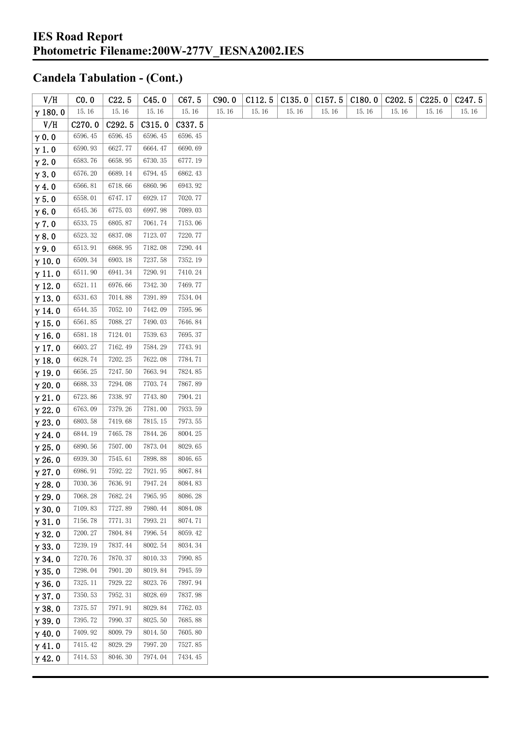| V/H            | CO. 0   | C22.5   | C45.0   | C67.5   | C90.0 | C112.5 | C135.0 | C157.5 | C180.0 | C202.5 | C225.0 | C <sub>247.5</sub> |
|----------------|---------|---------|---------|---------|-------|--------|--------|--------|--------|--------|--------|--------------------|
| $\gamma$ 180.0 | 15.16   | 15.16   | 15.16   | 15.16   | 15.16 | 15.16  | 15.16  | 15.16  | 15.16  | 15.16  | 15.16  | 15.16              |
| V/H            | C270.0  | C292.5  | C315.0  | C337.5  |       |        |        |        |        |        |        |                    |
| $\gamma$ 0.0   | 6596.45 | 6596.45 | 6596.45 | 6596.45 |       |        |        |        |        |        |        |                    |
| $\gamma$ 1.0   | 6590.93 | 6627.77 | 6664.47 | 6690.69 |       |        |        |        |        |        |        |                    |
| $\gamma$ 2.0   | 6583.76 | 6658.95 | 6730.35 | 6777.19 |       |        |        |        |        |        |        |                    |
| $\gamma$ 3.0   | 6576.20 | 6689.14 | 6794.45 | 6862.43 |       |        |        |        |        |        |        |                    |
| $\gamma$ 4.0   | 6566.81 | 6718.66 | 6860.96 | 6943.92 |       |        |        |        |        |        |        |                    |
| $\gamma$ 5.0   | 6558.01 | 6747.17 | 6929.17 | 7020.77 |       |        |        |        |        |        |        |                    |
| $\gamma$ 6.0   | 6545.36 | 6775.03 | 6997.98 | 7089.03 |       |        |        |        |        |        |        |                    |
| $\gamma$ 7.0   | 6533.75 | 6805.87 | 7061.74 | 7153.06 |       |        |        |        |        |        |        |                    |
| $\gamma$ 8.0   | 6523.32 | 6837.08 | 7123.07 | 7220.77 |       |        |        |        |        |        |        |                    |
| $\gamma$ 9.0   | 6513.91 | 6868.95 | 7182.08 | 7290.44 |       |        |        |        |        |        |        |                    |
| $\gamma$ 10.0  | 6509.34 | 6903.18 | 7237.58 | 7352.19 |       |        |        |        |        |        |        |                    |
| $\gamma$ 11.0  | 6511.90 | 6941.34 | 7290.91 | 7410.24 |       |        |        |        |        |        |        |                    |
| $\gamma$ 12.0  | 6521.11 | 6976.66 | 7342.30 | 7469.77 |       |        |        |        |        |        |        |                    |
| $\gamma$ 13.0  | 6531.63 | 7014.88 | 7391.89 | 7534.04 |       |        |        |        |        |        |        |                    |
| $\gamma$ 14.0  | 6544.35 | 7052.10 | 7442.09 | 7595.96 |       |        |        |        |        |        |        |                    |
| $\gamma$ 15.0  | 6561.85 | 7088.27 | 7490.03 | 7646.84 |       |        |        |        |        |        |        |                    |
| $\gamma$ 16.0  | 6581.18 | 7124.01 | 7539.63 | 7695.37 |       |        |        |        |        |        |        |                    |
| $\gamma$ 17.0  | 6603.27 | 7162.49 | 7584.29 | 7743.91 |       |        |        |        |        |        |        |                    |
| $\gamma$ 18.0  | 6628.74 | 7202.25 | 7622.08 | 7784.71 |       |        |        |        |        |        |        |                    |
| $\gamma$ 19.0  | 6656.25 | 7247.50 | 7663.94 | 7824.85 |       |        |        |        |        |        |        |                    |
| $\gamma$ 20.0  | 6688.33 | 7294.08 | 7703.74 | 7867.89 |       |        |        |        |        |        |        |                    |
| $\gamma$ 21.0  | 6723.86 | 7338.97 | 7743.80 | 7904.21 |       |        |        |        |        |        |        |                    |
| $\gamma$ 22.0  | 6763.09 | 7379.26 | 7781.00 | 7933.59 |       |        |        |        |        |        |        |                    |
| $\gamma$ 23.0  | 6803.58 | 7419.68 | 7815.15 | 7973.55 |       |        |        |        |        |        |        |                    |
| $\gamma$ 24.0  | 6844.19 | 7465.78 | 7844.26 | 8004.25 |       |        |        |        |        |        |        |                    |
| $\gamma$ 25.0  | 6890.56 | 7507.00 | 7873.04 | 8029.65 |       |        |        |        |        |        |        |                    |
| $\gamma$ 26.0  | 6939.30 | 7545.61 | 7898.88 | 8046.65 |       |        |        |        |        |        |        |                    |
| $\gamma$ 27.0  | 6986.91 | 7592.22 | 7921.95 | 8067.84 |       |        |        |        |        |        |        |                    |
| $\gamma$ 28.0  | 7030.36 | 7636.91 | 7947.24 | 8084.83 |       |        |        |        |        |        |        |                    |
| $\gamma$ 29.0  | 7068.28 | 7682.24 | 7965.95 | 8086.28 |       |        |        |        |        |        |        |                    |
| $\gamma$ 30.0  | 7109.83 | 7727.89 | 7980.44 | 8084.08 |       |        |        |        |        |        |        |                    |
| $\gamma$ 31.0  | 7156.78 | 7771.31 | 7993.21 | 8074.71 |       |        |        |        |        |        |        |                    |
| $\gamma$ 32.0  | 7200.27 | 7804.84 | 7996.54 | 8059.42 |       |        |        |        |        |        |        |                    |
| $\gamma$ 33.0  | 7239.19 | 7837.44 | 8002.54 | 8034.34 |       |        |        |        |        |        |        |                    |
| $\gamma$ 34.0  | 7270.76 | 7870.37 | 8010.33 | 7990.85 |       |        |        |        |        |        |        |                    |
| $\gamma$ 35.0  | 7298.04 | 7901.20 | 8019.84 | 7945.59 |       |        |        |        |        |        |        |                    |
| $\gamma$ 36.0  | 7325.11 | 7929.22 | 8023.76 | 7897.94 |       |        |        |        |        |        |        |                    |
| $\gamma$ 37.0  | 7350.53 | 7952.31 | 8028.69 | 7837.98 |       |        |        |        |        |        |        |                    |
| $\gamma$ 38.0  | 7375.57 | 7971.91 | 8029.84 | 7762.03 |       |        |        |        |        |        |        |                    |
| $\gamma$ 39.0  | 7395.72 | 7990.37 | 8025.50 | 7685.88 |       |        |        |        |        |        |        |                    |
| $\gamma$ 40.0  | 7409.92 | 8009.79 | 8014.50 | 7605.80 |       |        |        |        |        |        |        |                    |
| $\gamma$ 41.0  | 7415.42 | 8029.29 | 7997.20 | 7527.85 |       |        |        |        |        |        |        |                    |
| $\gamma$ 42.0  | 7414.53 | 8046.30 | 7974.04 | 7434.45 |       |        |        |        |        |        |        |                    |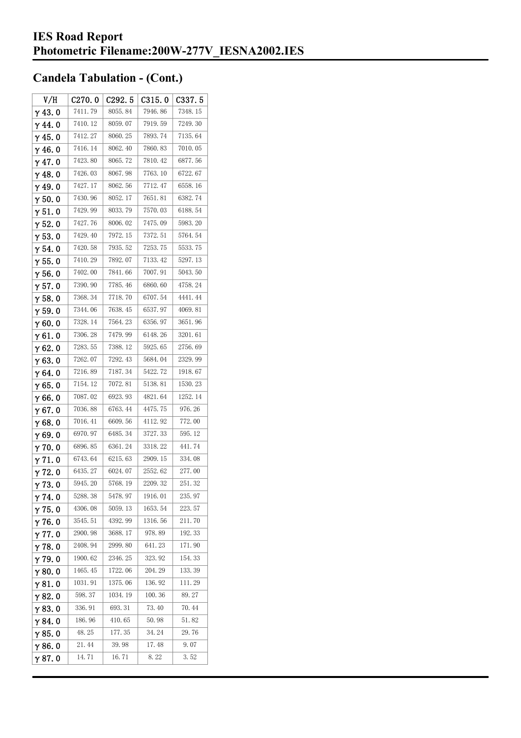| V/H            | C270.0  | C <sub>292.5</sub> | C315.0  | C337.5  |
|----------------|---------|--------------------|---------|---------|
| $\gamma$ 43.0  | 7411.79 | 8055.84            | 7946.86 | 7348.15 |
| $\gamma$ 44.0  | 7410.12 | 8059.07            | 7919.59 | 7249.30 |
| $\gamma$ 45.0  | 7412.27 | 8060.25            | 7893.74 | 7135.64 |
| $\gamma$ 46.0  | 7416.14 | 8062.40            | 7860.83 | 7010.05 |
| $\gamma$ 47.0  | 7423.80 | 8065.72            | 7810.42 | 6877.56 |
| $\gamma$ 48.0  | 7426.03 | 8067.98            | 7763.10 | 6722.67 |
| $\gamma$ 49.0  | 7427.17 | 8062.56            | 7712.47 | 6558.16 |
| $\gamma$ 50.0  | 7430.96 | 8052.17            | 7651.81 | 6382.74 |
| $\gamma$ 51.0  | 7429.99 | 8033.79            | 7570.03 | 6188.54 |
| $\gamma$ 52.0  | 7427.76 | 8006.02            | 7475.09 | 5983.20 |
| $\gamma$ 53.0  | 7429.40 | 7972.15            | 7372.51 | 5764.54 |
| $\gamma$ 54.0  | 7420.58 | 7935.52            | 7253.75 | 5533.75 |
| $\gamma$ 55.0  | 7410.29 | 7892.07            | 7133.42 | 5297.13 |
| γ56.0          | 7402.00 | 7841.66            | 7007.91 | 5043.50 |
| $\gamma$ 57. 0 | 7390.90 | 7785.46            | 6860.60 | 4758.24 |
| $\gamma$ 58.0  | 7368.34 | 7718.70            | 6707.54 | 4441.44 |
| $\gamma$ 59.0  | 7344.06 | 7638.45            | 6537.97 | 4069.81 |
| $\gamma$ 60.0  | 7328.14 | 7564.23            | 6356.97 | 3651.96 |
| $\gamma$ 61.0  | 7306.28 | 7479.99            | 6148.26 | 3201.61 |
| $\gamma$ 62. 0 | 7283.55 | 7388.12            | 5925.65 | 2756.69 |
| $\gamma$ 63. 0 | 7262.07 | 7292.43            | 5684.04 | 2329.99 |
| $\gamma$ 64.0  | 7216.89 | 7187.34            | 5422.72 | 1918.67 |
| $\gamma$ 65.0  | 7154.12 | 7072.81            | 5138.81 | 1530.23 |
| $\gamma$ 66.0  | 7087.02 | 6923.93            | 4821.64 | 1252.14 |
| $\gamma$ 67. 0 | 7036.88 | 6763.44            | 4475.75 | 976.26  |
| $\gamma$ 68.0  | 7016.41 | 6609.56            | 4112.92 | 772.00  |
| $\gamma$ 69.0  | 6970.97 | 6485.34            | 3727.33 | 595.12  |
| $\gamma$ 70.0  | 6896.85 | 6361.24            | 3318.22 | 441.74  |
| $\gamma$ 71.0  | 6743.64 | 6215.63            | 2909.15 | 334.08  |
| $\gamma$ 72.0  | 6435.27 | 6024.07            | 2552.62 | 277.00  |
| $\gamma$ 73.0  | 5945.20 | 5768.19            | 2209.32 | 251.32  |
| $\gamma$ 74. 0 | 5288.38 | 5478.97            | 1916.01 | 235.97  |
| $\gamma$ 75.0  | 4306.08 | 5059.13            | 1653.54 | 223.57  |
| $\gamma$ 76.0  | 3545.51 | 4392.99            | 1316.56 | 211.70  |
| $\gamma$ 77.0  | 2900.98 | 3688.17            | 978.89  | 192.33  |
| $\gamma$ 78.0  | 2408.94 | 2999.80            | 641.23  | 171.90  |
| $\gamma$ 79.0  | 1900.62 | 2346.25            | 323.92  | 154.33  |
| $\gamma$ 80.0  | 1465.45 | 1722.06            | 204.29  | 133.39  |
| $\gamma$ 81.0  | 1031.91 | 1375.06            | 136.92  | 111.29  |
| $\gamma$ 82.0  | 598.37  | 1034.19            | 100.36  | 89.27   |
| $\gamma$ 83.0  | 336.91  | 693.31             | 73.40   | 70.44   |
| $\gamma$ 84.0  | 186.96  | 410.65             | 50.98   | 51.82   |
| $\gamma$ 85.0  | 48.25   | 177.35             | 34.24   | 29.76   |
| $\gamma$ 86.0  | 21.44   | 39.98              | 17.48   | 9.07    |
| γ87. O         | 14.71   | 16.71              | 8.22    | 3.52    |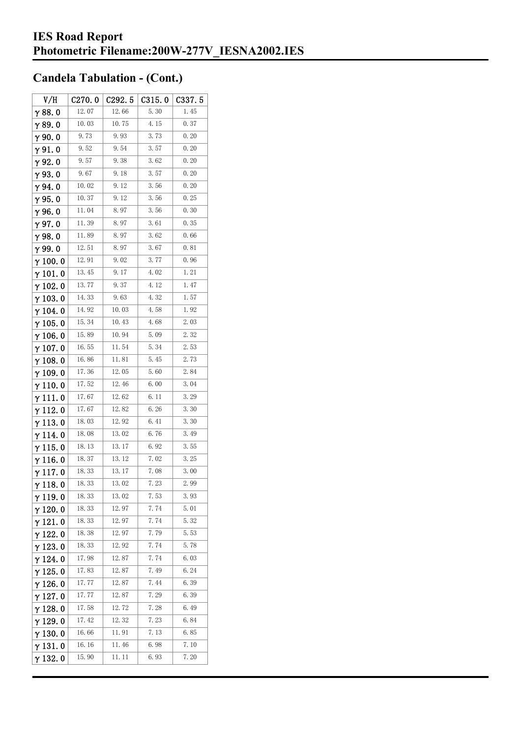| V/H             | C270.0 | C292.5 | C315.0 | C337.5 |
|-----------------|--------|--------|--------|--------|
| $\gamma$ 88. 0  | 12.07  | 12.66  | 5.30   | 1.45   |
| γ89.0           | 10.03  | 10.75  | 4.15   | 0.37   |
| γ90.0           | 9.73   | 9.93   | 3.73   | 0.20   |
| $\gamma$ 91. 0  | 9.52   | 9.54   | 3.57   | 0.20   |
| γ92.0           | 9.57   | 9.38   | 3.62   | 0.20   |
| $\gamma$ 93. O  | 9.67   | 9.18   | 3.57   | 0.20   |
| $\gamma$ 94.0   | 10.02  | 9.12   | 3.56   | 0.20   |
| $\gamma$ 95.0   | 10.37  | 9.12   | 3.56   | 0.25   |
| γ96.0           | 11.04  | 8.97   | 3.56   | 0.30   |
| $\gamma$ 97.0   | 11.39  | 8.97   | 3.61   | 0.35   |
| $\gamma$ 98.0   | 11.89  | 8.97   | 3.62   | 0.66   |
| γ99.0           | 12.51  | 8.97   | 3.67   | 0.81   |
| $\gamma$ 100. 0 | 12.91  | 9.02   | 3.77   | 0.96   |
| $\gamma$ 101. 0 | 13.45  | 9.17   | 4.02   | 1.21   |
| $\gamma$ 102.0  | 13.77  | 9.37   | 4.12   | 1.47   |
| $\gamma$ 103. 0 | 14.33  | 9.63   | 4.32   | 1.57   |
| $\gamma$ 104.0  | 14.92  | 10.03  | 4.58   | 1.92   |
| $\gamma$ 105.0  | 15.34  | 10.43  | 4.68   | 2.03   |
| $\gamma$ 106. 0 | 15.89  | 10.94  | 5.09   | 2.32   |
| $\gamma$ 107. 0 | 16.55  | 11.54  | 5.34   | 2.53   |
| γ108.0          | 16.86  | 11.81  | 5.45   | 2.73   |
| $\gamma$ 109.0  | 17.36  | 12.05  | 5.60   | 2.84   |
| $\gamma$ 110. 0 | 17.52  | 12.46  | 6.00   | 3.04   |
| γ111.0          | 17.67  | 12.62  | 6.11   | 3.29   |
| $\gamma$ 112. 0 | 17.67  | 12.82  | 6.26   | 3.30   |
| $\gamma$ 113.0  | 18.03  | 12.92  | 6.41   | 3.30   |
| γ 114. 0        | 18.08  | 13.02  | 6.76   | 3.49   |
| γ115.0          | 18.13  | 13. 17 | 6.92   | 3.55   |
| $\gamma$ 116. 0 | 18.37  | 13.12  | 7.02   | 3.25   |
| γ117.0          | 18.33  | 13.17  | 7.08   | 3.00   |
| $\gamma$ 118. 0 | 18. 33 | 13.02  | 7. 23  | 2.99   |
| $\gamma$ 119.0  | 18.33  | 13.02  | 7.53   | 3.93   |
| $\gamma$ 120.0  | 18.33  | 12.97  | 7.74   | 5.01   |
| $\gamma$ 121.0  | 18. 33 | 12.97  | 7.74   | 5.32   |
| $\gamma$ 122.0  | 18.38  | 12.97  | 7.79   | 5.53   |
| $\gamma$ 123.0  | 18.33  | 12.92  | 7.74   | 5.78   |
| $\gamma$ 124.0  | 17.98  | 12.87  | 7.74   | 6.03   |
| $\gamma$ 125. 0 | 17.83  | 12.87  | 7.49   | 6.24   |
| $\gamma$ 126.0  | 17.77  | 12.87  | 7.44   | 6.39   |
| $\gamma$ 127. 0 | 17.77  | 12.87  | 7.29   | 6.39   |
| $\gamma$ 128.0  | 17.58  | 12.72  | 7.28   | 6.49   |
| γ 129. 0        | 17.42  | 12.32  | 7.23   | 6.84   |
| $\gamma$ 130. 0 | 16.66  | 11.91  | 7.13   | 6.85   |
| $\gamma$ 131.0  | 16.16  | 11.46  | 6.98   | 7.10   |
| $\gamma$ 132. 0 | 15.90  | 11. 11 | 6.93   | 7.20   |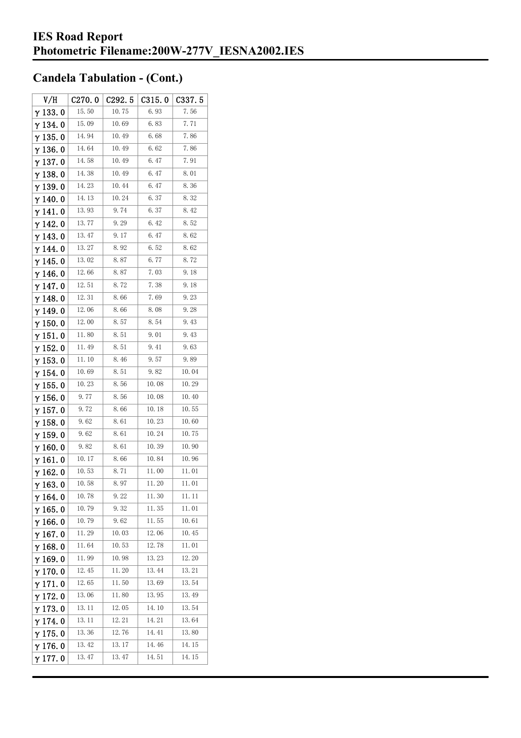| V/H             | C270.0 | C292.5 | C315.0 | C337.5 |
|-----------------|--------|--------|--------|--------|
| $\gamma$ 133.0  | 15.50  | 10.75  | 6.93   | 7.56   |
| $\gamma$ 134.0  | 15.09  | 10.69  | 6.83   | 7.71   |
| $\gamma$ 135. 0 | 14.94  | 10.49  | 6.68   | 7.86   |
| $\gamma$ 136.0  | 14.64  | 10.49  | 6.62   | 7.86   |
| $\gamma$ 137. 0 | 14.58  | 10.49  | 6.47   | 7.91   |
| $\gamma$ 138. 0 | 14.38  | 10.49  | 6.47   | 8.01   |
| γ139.0          | 14.23  | 10.44  | 6.47   | 8.36   |
| $\gamma$ 140. 0 | 14.13  | 10.24  | 6.37   | 8.32   |
| γ141.0          | 13.93  | 9.74   | 6.37   | 8.42   |
| $\gamma$ 142. 0 | 13.77  | 9.29   | 6.42   | 8.52   |
| $\gamma$ 143.0  | 13.47  | 9.17   | 6.47   | 8.62   |
| $\gamma$ 144. 0 | 13.27  | 8.92   | 6.52   | 8.62   |
| γ 145. 0        | 13.02  | 8. 87  | 6.77   | 8.72   |
| γ146.0          | 12.66  | 8.87   | 7.03   | 9. 18  |
| γ 147. 0        | 12.51  | 8.72   | 7.38   | 9.18   |
| γ148.0          | 12.31  | 8.66   | 7.69   | 9.23   |
| $\gamma$ 149. 0 | 12.06  | 8.66   | 8.08   | 9.28   |
| $\gamma$ 150. 0 | 12.00  | 8.57   | 8.54   | 9.43   |
| $\gamma$ 151. 0 | 11.80  | 8.51   | 9.01   | 9.43   |
| $\gamma$ 152.0  | 11.49  | 8.51   | 9.41   | 9.63   |
| $\gamma$ 153. 0 | 11.10  | 8.46   | 9.57   | 9.89   |
| $\gamma$ 154. 0 | 10.69  | 8.51   | 9.82   | 10.04  |
| $\gamma$ 155. 0 | 10.23  | 8.56   | 10.08  | 10.29  |
| $\gamma$ 156. 0 | 9.77   | 8. 56  | 10.08  | 10.40  |
| $\gamma$ 157. 0 | 9.72   | 8.66   | 10.18  | 10.55  |
| $\gamma$ 158.0  | 9.62   | 8.61   | 10.23  | 10.60  |
| γ 159. 0        | 9.62   | 8.61   | 10.24  | 10.75  |
| $\gamma$ 160.0  | 9.82   | 8.61   | 10.39  | 10.90  |
| $\gamma$ 161. 0 | 10.17  | 8.66   | 10.84  | 10.96  |
| $\gamma$ 162.0  | 10.53  | 8.71   | 11.00  | 11.01  |
| $\gamma$ 163.0  | 10. 58 | 8. 97  | 11.20  | 11.01  |
| $\gamma$ 164. 0 | 10.78  | 9.22   | 11.30  | 11. 11 |
| $\gamma$ 165.0  | 10.79  | 9.32   | 11.35  | 11.01  |
| $\gamma$ 166.0  | 10.79  | 9.62   | 11.55  | 10.61  |
| $\gamma$ 167. 0 | 11.29  | 10.03  | 12.06  | 10.45  |
| $\gamma$ 168.0  | 11.64  | 10.53  | 12.78  | 11.01  |
| $\gamma$ 169.0  | 11.99  | 10.98  | 13.23  | 12.20  |
| $\gamma$ 170.0  | 12.45  | 11.20  | 13.44  | 13.21  |
| $\gamma$ 171.0  | 12.65  | 11.50  | 13.69  | 13.54  |
| $\gamma$ 172.0  | 13.06  | 11.80  | 13.95  | 13.49  |
| $\gamma$ 173.0  | 13. 11 | 12.05  | 14.10  | 13.54  |
| $\gamma$ 174.0  | 13. 11 | 12.21  | 14. 21 | 13.64  |
| $\gamma$ 175. 0 | 13.36  | 12.76  | 14.41  | 13.80  |
| $\gamma$ 176.0  | 13.42  | 13.17  | 14.46  | 14.15  |
| γ177.0          | 13.47  | 13.47  | 14.51  | 14.15  |